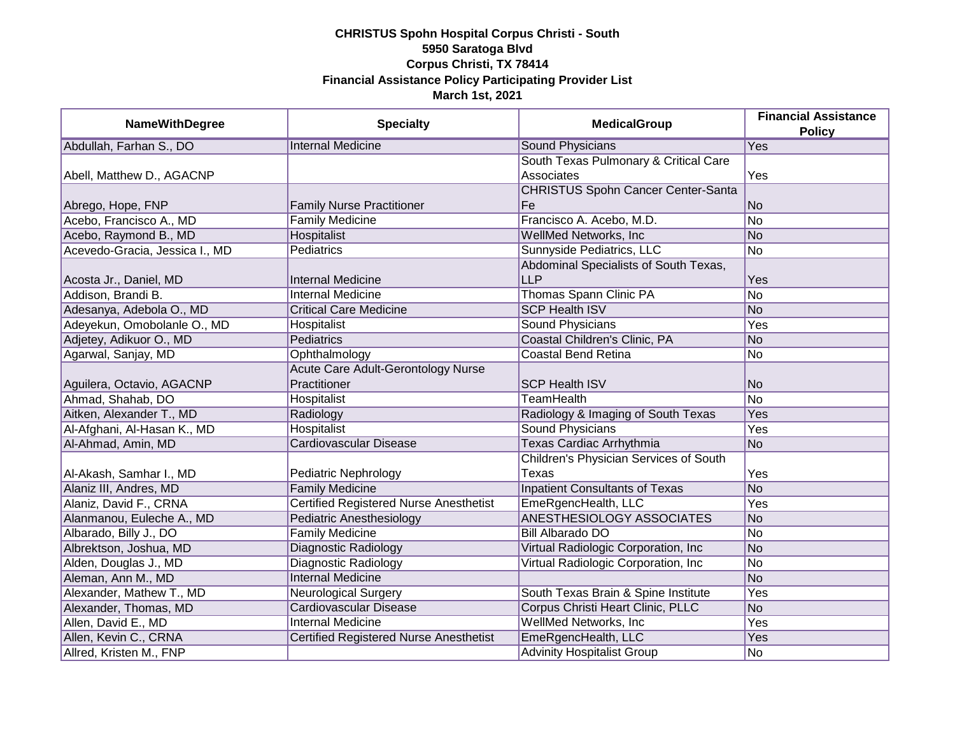| <b>NameWithDegree</b>          | <b>Specialty</b>                              | <b>MedicalGroup</b>                       | <b>Financial Assistance</b><br><b>Policy</b> |
|--------------------------------|-----------------------------------------------|-------------------------------------------|----------------------------------------------|
| Abdullah, Farhan S., DO        | <b>Internal Medicine</b>                      | <b>Sound Physicians</b>                   | Yes                                          |
|                                |                                               | South Texas Pulmonary & Critical Care     |                                              |
| Abell, Matthew D., AGACNP      |                                               | Associates                                | Yes                                          |
|                                |                                               | <b>CHRISTUS Spohn Cancer Center-Santa</b> |                                              |
| Abrego, Hope, FNP              | <b>Family Nurse Practitioner</b>              | Fe                                        | <b>No</b>                                    |
| Acebo, Francisco A., MD        | <b>Family Medicine</b>                        | Francisco A. Acebo, M.D.                  | $\overline{No}$                              |
| Acebo, Raymond B., MD          | Hospitalist                                   | <b>WellMed Networks, Inc.</b>             | <b>No</b>                                    |
| Acevedo-Gracia, Jessica I., MD | <b>Pediatrics</b>                             | Sunnyside Pediatrics, LLC                 | $\overline{No}$                              |
|                                |                                               | Abdominal Specialists of South Texas,     |                                              |
| Acosta Jr., Daniel, MD         | <b>Internal Medicine</b>                      | <b>LLP</b>                                | Yes                                          |
| Addison, Brandi B.             | <b>Internal Medicine</b>                      | Thomas Spann Clinic PA                    | No                                           |
| Adesanya, Adebola O., MD       | <b>Critical Care Medicine</b>                 | <b>SCP Health ISV</b>                     | <b>No</b>                                    |
| Adeyekun, Omobolanle O., MD    | Hospitalist                                   | Sound Physicians                          | Yes                                          |
| Adjetey, Adikuor O., MD        | Pediatrics                                    | Coastal Children's Clinic, PA             | <b>No</b>                                    |
| Agarwal, Sanjay, MD            | Ophthalmology                                 | <b>Coastal Bend Retina</b>                | No                                           |
|                                | Acute Care Adult-Gerontology Nurse            |                                           |                                              |
| Aguilera, Octavio, AGACNP      | Practitioner                                  | <b>SCP Health ISV</b>                     | <b>No</b>                                    |
| Ahmad, Shahab, DO              | Hospitalist                                   | <b>TeamHealth</b>                         | <b>No</b>                                    |
| Aitken, Alexander T., MD       | Radiology                                     | Radiology & Imaging of South Texas        | Yes                                          |
| Al-Afghani, Al-Hasan K., MD    | <b>Hospitalist</b>                            | <b>Sound Physicians</b>                   | Yes                                          |
| Al-Ahmad, Amin, MD             | Cardiovascular Disease                        | <b>Texas Cardiac Arrhythmia</b>           | <b>No</b>                                    |
|                                |                                               | Children's Physician Services of South    |                                              |
| Al-Akash, Samhar I., MD        | Pediatric Nephrology                          | Texas                                     | Yes                                          |
| Alaniz III, Andres, MD         | <b>Family Medicine</b>                        | <b>Inpatient Consultants of Texas</b>     | <b>No</b>                                    |
| Alaniz, David F., CRNA         | <b>Certified Registered Nurse Anesthetist</b> | EmeRgencHealth, LLC                       | Yes                                          |
| Alanmanou, Euleche A., MD      | Pediatric Anesthesiology                      | <b>ANESTHESIOLOGY ASSOCIATES</b>          | N <sub>o</sub>                               |
| Albarado, Billy J., DO         | <b>Family Medicine</b>                        | <b>Bill Albarado DO</b>                   | No                                           |
| Albrektson, Joshua, MD         | Diagnostic Radiology                          | Virtual Radiologic Corporation, Inc       | No                                           |
| Alden, Douglas J., MD          | Diagnostic Radiology                          | Virtual Radiologic Corporation, Inc       | No                                           |
| Aleman, Ann M., MD             | <b>Internal Medicine</b>                      |                                           | No                                           |
| Alexander, Mathew T., MD       | <b>Neurological Surgery</b>                   | South Texas Brain & Spine Institute       | Yes                                          |
| Alexander, Thomas, MD          | Cardiovascular Disease                        | Corpus Christi Heart Clinic, PLLC         | <b>No</b>                                    |
| Allen, David E., MD            | <b>Internal Medicine</b>                      | <b>WellMed Networks, Inc.</b>             | Yes                                          |
| Allen, Kevin C., CRNA          | <b>Certified Registered Nurse Anesthetist</b> | EmeRgencHealth, LLC                       | Yes                                          |
| Allred, Kristen M., FNP        |                                               | <b>Advinity Hospitalist Group</b>         | No                                           |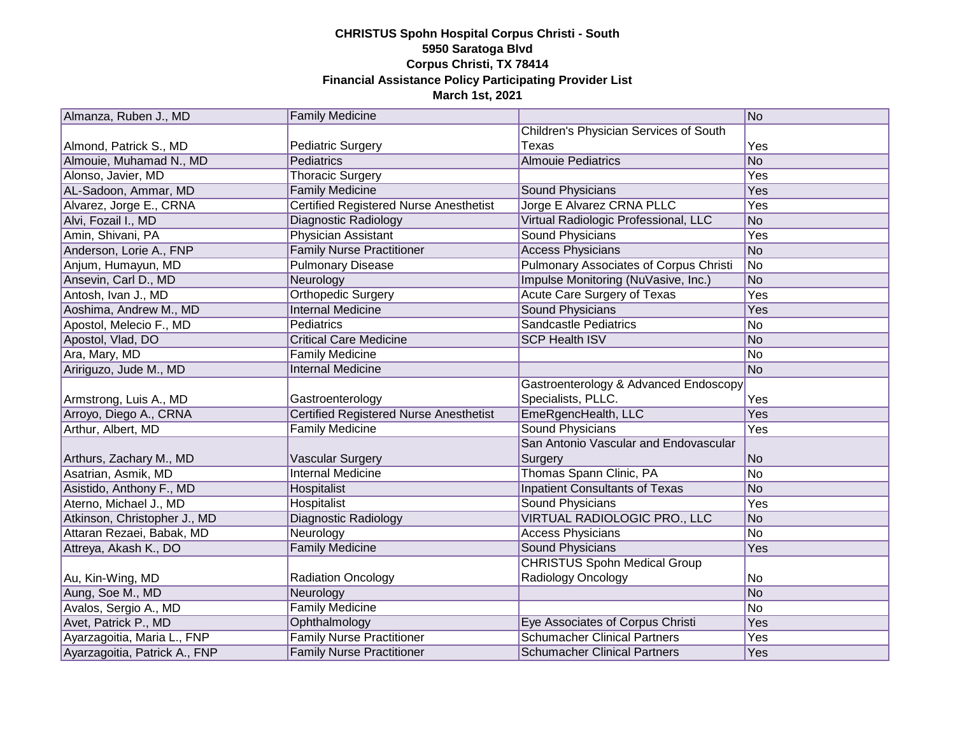| Almanza, Ruben J., MD         | <b>Family Medicine</b>                        |                                               | No         |
|-------------------------------|-----------------------------------------------|-----------------------------------------------|------------|
|                               |                                               | Children's Physician Services of South        |            |
| Almond, Patrick S., MD        | <b>Pediatric Surgery</b>                      | Texas                                         | Yes        |
| Almouie, Muhamad N., MD       | <b>Pediatrics</b>                             | <b>Almouie Pediatrics</b>                     | No         |
| Alonso, Javier, MD            | <b>Thoracic Surgery</b>                       |                                               | Yes        |
| AL-Sadoon, Ammar, MD          | <b>Family Medicine</b>                        | Sound Physicians                              | Yes        |
| Alvarez, Jorge E., CRNA       | <b>Certified Registered Nurse Anesthetist</b> | Jorge E Alvarez CRNA PLLC                     | <b>Yes</b> |
| Alvi, Fozail I., MD           | Diagnostic Radiology                          | Virtual Radiologic Professional, LLC          | No         |
| Amin, Shivani, PA             | Physician Assistant                           | Sound Physicians                              | Yes        |
| Anderson, Lorie A., FNP       | <b>Family Nurse Practitioner</b>              | <b>Access Physicians</b>                      | No         |
| Anjum, Humayun, MD            | <b>Pulmonary Disease</b>                      | <b>Pulmonary Associates of Corpus Christi</b> | No         |
| Ansevin, Carl D., MD          | Neurology                                     | Impulse Monitoring (NuVasive, Inc.)           | No         |
| Antosh, Ivan J., MD           | Orthopedic Surgery                            | Acute Care Surgery of Texas                   | Yes        |
| Aoshima, Andrew M., MD        | Internal Medicine                             | <b>Sound Physicians</b>                       | Yes        |
| Apostol, Melecio F., MD       | Pediatrics                                    | <b>Sandcastle Pediatrics</b>                  | No         |
| Apostol, Vlad, DO             | <b>Critical Care Medicine</b>                 | <b>SCP Health ISV</b>                         | No         |
| Ara, Mary, MD                 | <b>Family Medicine</b>                        |                                               | No         |
| Aririguzo, Jude M., MD        | <b>Internal Medicine</b>                      |                                               | No         |
|                               |                                               | Gastroenterology & Advanced Endoscopy         |            |
| Armstrong, Luis A., MD        | Gastroenterology                              | Specialists, PLLC.                            | Yes        |
| Arroyo, Diego A., CRNA        | <b>Certified Registered Nurse Anesthetist</b> | EmeRgencHealth, LLC                           | Yes        |
| Arthur, Albert, MD            | <b>Family Medicine</b>                        | <b>Sound Physicians</b>                       | Yes        |
|                               |                                               | San Antonio Vascular and Endovascular         |            |
| Arthurs, Zachary M., MD       | Vascular Surgery                              | Surgery                                       | No         |
| Asatrian, Asmik, MD           | <b>Internal Medicine</b>                      | Thomas Spann Clinic, PA                       | No         |
| Asistido, Anthony F., MD      | Hospitalist                                   | <b>Inpatient Consultants of Texas</b>         | No         |
| Aterno, Michael J., MD        | Hospitalist                                   | Sound Physicians                              | Yes        |
| Atkinson, Christopher J., MD  | <b>Diagnostic Radiology</b>                   | VIRTUAL RADIOLOGIC PRO., LLC                  | No         |
| Attaran Rezaei, Babak, MD     | Neurology                                     | <b>Access Physicians</b>                      | No         |
| Attreya, Akash K., DO         | <b>Family Medicine</b>                        | <b>Sound Physicians</b>                       | Yes        |
|                               |                                               | <b>CHRISTUS Spohn Medical Group</b>           |            |
| Au, Kin-Wing, MD              | <b>Radiation Oncology</b>                     | Radiology Oncology                            | No         |
| Aung, Soe M., MD              | Neurology                                     |                                               | No         |
| Avalos, Sergio A., MD         | <b>Family Medicine</b>                        |                                               | No         |
| Avet, Patrick P., MD          | Ophthalmology                                 | Eye Associates of Corpus Christi              | Yes        |
| Ayarzagoitia, Maria L., FNP   | <b>Family Nurse Practitioner</b>              | <b>Schumacher Clinical Partners</b>           | Yes        |
| Ayarzagoitia, Patrick A., FNP | <b>Family Nurse Practitioner</b>              | <b>Schumacher Clinical Partners</b>           | Yes        |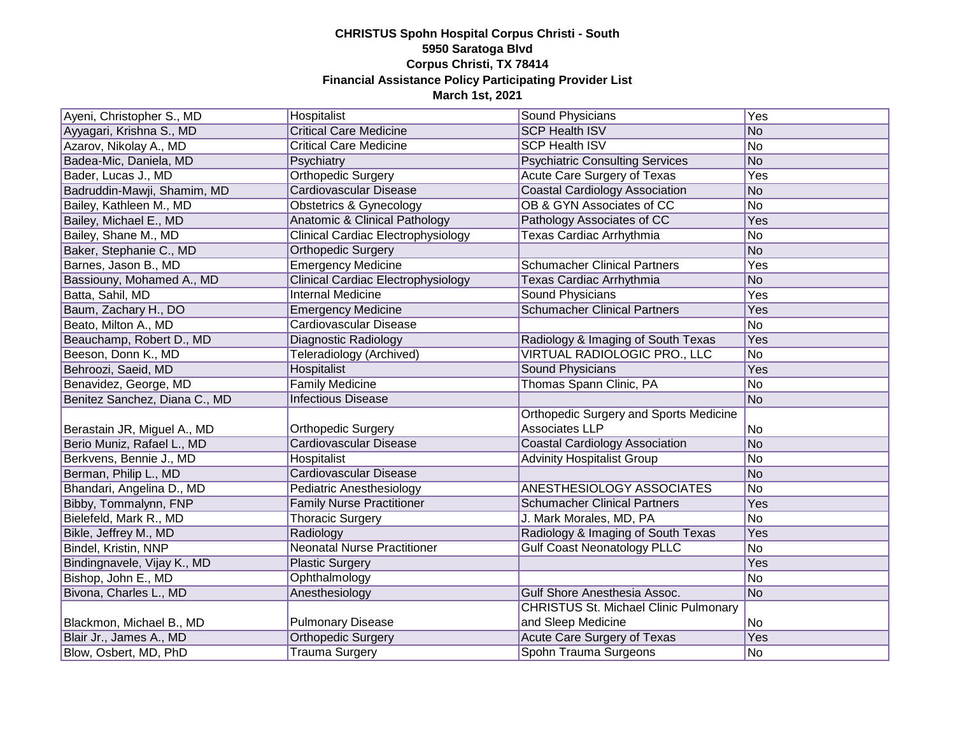| Ayeni, Christopher S., MD     | Hospitalist                               | Sound Physicians                              | Yes        |
|-------------------------------|-------------------------------------------|-----------------------------------------------|------------|
| Ayyagari, Krishna S., MD      | <b>Critical Care Medicine</b>             | <b>SCP Health ISV</b>                         | No         |
| Azarov, Nikolay A., MD        | <b>Critical Care Medicine</b>             | <b>SCP Health ISV</b>                         | No         |
| Badea-Mic, Daniela, MD        | Psychiatry                                | <b>Psychiatric Consulting Services</b>        | No         |
| Bader, Lucas J., MD           | <b>Orthopedic Surgery</b>                 | Acute Care Surgery of Texas                   | Yes        |
| Badruddin-Mawji, Shamim, MD   | Cardiovascular Disease                    | <b>Coastal Cardiology Association</b>         | No         |
| Bailey, Kathleen M., MD       | Obstetrics & Gynecology                   | OB & GYN Associates of CC                     | No         |
| Bailey, Michael E., MD        | <b>Anatomic &amp; Clinical Pathology</b>  | Pathology Associates of CC                    | Yes        |
| Bailey, Shane M., MD          | <b>Clinical Cardiac Electrophysiology</b> | <b>Texas Cardiac Arrhythmia</b>               | No         |
| Baker, Stephanie C., MD       | Orthopedic Surgery                        |                                               | No         |
| Barnes, Jason B., MD          | <b>Emergency Medicine</b>                 | <b>Schumacher Clinical Partners</b>           | <b>Yes</b> |
| Bassiouny, Mohamed A., MD     | Clinical Cardiac Electrophysiology        | Texas Cardiac Arrhythmia                      | No         |
| Batta, Sahil, MD              | <b>Internal Medicine</b>                  | Sound Physicians                              | Yes        |
| Baum, Zachary H., DO          | <b>Emergency Medicine</b>                 | <b>Schumacher Clinical Partners</b>           | Yes        |
| Beato, Milton A., MD          | Cardiovascular Disease                    |                                               | No         |
| Beauchamp, Robert D., MD      | Diagnostic Radiology                      | Radiology & Imaging of South Texas            | Yes        |
| Beeson, Donn K., MD           | Teleradiology (Archived)                  | VIRTUAL RADIOLOGIC PRO., LLC                  | No         |
| Behroozi, Saeid, MD           | Hospitalist                               | <b>Sound Physicians</b>                       | Yes        |
| Benavidez, George, MD         | <b>Family Medicine</b>                    | Thomas Spann Clinic, PA                       | No         |
| Benitez Sanchez, Diana C., MD | <b>Infectious Disease</b>                 |                                               | No         |
|                               |                                           | <b>Orthopedic Surgery and Sports Medicine</b> |            |
| Berastain JR, Miguel A., MD   | <b>Orthopedic Surgery</b>                 | Associates LLP                                | No         |
| Berio Muniz, Rafael L., MD    | <b>Cardiovascular Disease</b>             | <b>Coastal Cardiology Association</b>         | No         |
| Berkvens, Bennie J., MD       | Hospitalist                               | <b>Advinity Hospitalist Group</b>             | No         |
| Berman, Philip L., MD         | Cardiovascular Disease                    |                                               | No         |
| Bhandari, Angelina D., MD     | Pediatric Anesthesiology                  | <b>ANESTHESIOLOGY ASSOCIATES</b>              | No         |
| Bibby, Tommalynn, FNP         | <b>Family Nurse Practitioner</b>          | <b>Schumacher Clinical Partners</b>           | Yes        |
| Bielefeld, Mark R., MD        | <b>Thoracic Surgery</b>                   | J. Mark Morales, MD, PA                       | No         |
| Bikle, Jeffrey M., MD         | Radiology                                 | Radiology & Imaging of South Texas            | Yes        |
| Bindel, Kristin, NNP          | <b>Neonatal Nurse Practitioner</b>        | <b>Gulf Coast Neonatology PLLC</b>            | No         |
| Bindingnavele, Vijay K., MD   | <b>Plastic Surgery</b>                    |                                               | Yes        |
| Bishop, John E., MD           | Ophthalmology                             |                                               | No         |
| Bivona, Charles L., MD        | Anesthesiology                            | Gulf Shore Anesthesia Assoc.                  | No         |
|                               |                                           | <b>CHRISTUS St. Michael Clinic Pulmonary</b>  |            |
| Blackmon, Michael B., MD      | <b>Pulmonary Disease</b>                  | and Sleep Medicine                            | No         |
| Blair Jr., James A., MD       | <b>Orthopedic Surgery</b>                 | Acute Care Surgery of Texas                   | Yes        |
| Blow, Osbert, MD, PhD         | <b>Trauma Surgery</b>                     | Spohn Trauma Surgeons                         | No         |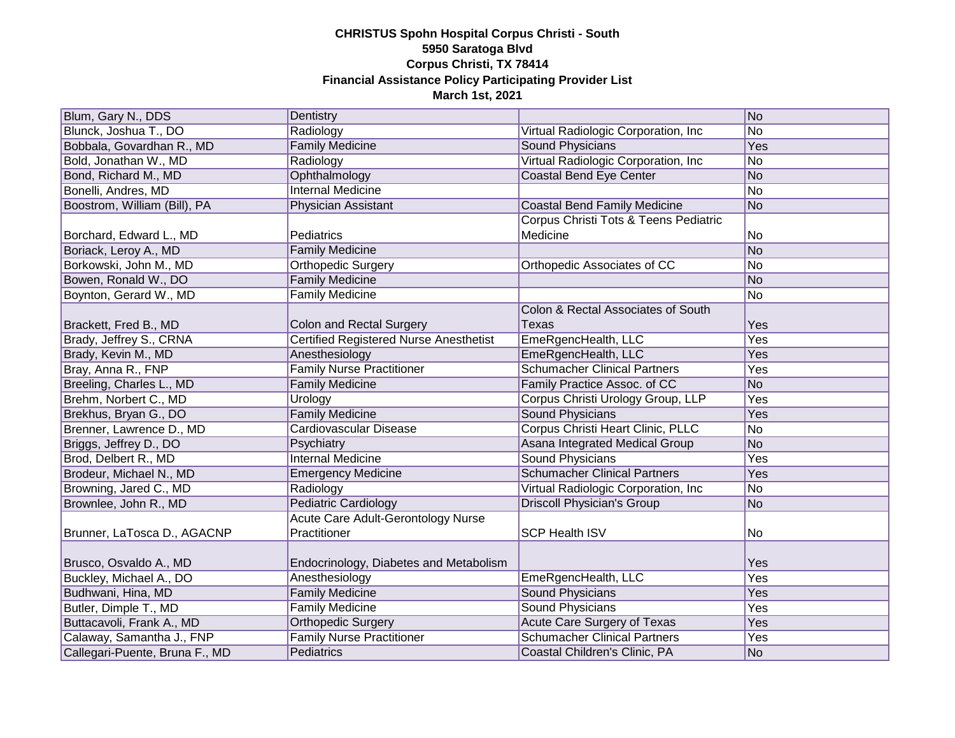| Blum, Gary N., DDS             | Dentistry                                     |                                       | No             |
|--------------------------------|-----------------------------------------------|---------------------------------------|----------------|
| Blunck, Joshua T., DO          | Radiology                                     | Virtual Radiologic Corporation, Inc   | No             |
| Bobbala, Govardhan R., MD      | <b>Family Medicine</b>                        | Sound Physicians                      | Yes            |
| Bold, Jonathan W., MD          | Radiology                                     | Virtual Radiologic Corporation, Inc   | N <sub>o</sub> |
| Bond, Richard M., MD           | Ophthalmology                                 | <b>Coastal Bend Eye Center</b>        | No             |
| Bonelli, Andres, MD            | <b>Internal Medicine</b>                      |                                       | No             |
| Boostrom, William (Bill), PA   | Physician Assistant                           | <b>Coastal Bend Family Medicine</b>   | No             |
|                                |                                               | Corpus Christi Tots & Teens Pediatric |                |
| Borchard, Edward L., MD        | Pediatrics                                    | Medicine                              | No             |
| Boriack, Leroy A., MD          | <b>Family Medicine</b>                        |                                       | No             |
| Borkowski, John M., MD         | Orthopedic Surgery                            | Orthopedic Associates of CC           | No             |
| Bowen, Ronald W., DO           | <b>Family Medicine</b>                        |                                       | No             |
| Boynton, Gerard W., MD         | <b>Family Medicine</b>                        |                                       | No             |
|                                |                                               | Colon & Rectal Associates of South    |                |
| Brackett, Fred B., MD          | Colon and Rectal Surgery                      | Texas                                 | Yes            |
| Brady, Jeffrey S., CRNA        | <b>Certified Registered Nurse Anesthetist</b> | EmeRgencHealth, LLC                   | Yes            |
| Brady, Kevin M., MD            | Anesthesiology                                | EmeRgencHealth, LLC                   | Yes            |
| Bray, Anna R., FNP             | <b>Family Nurse Practitioner</b>              | <b>Schumacher Clinical Partners</b>   | Yes            |
| Breeling, Charles L., MD       | <b>Family Medicine</b>                        | Family Practice Assoc. of CC          | No             |
| Brehm, Norbert C., MD          | Urology                                       | Corpus Christi Urology Group, LLP     | Yes            |
| Brekhus, Bryan G., DO          | <b>Family Medicine</b>                        | Sound Physicians                      | Yes            |
| Brenner, Lawrence D., MD       | Cardiovascular Disease                        | Corpus Christi Heart Clinic, PLLC     | No             |
| Briggs, Jeffrey D., DO         | Psychiatry                                    | Asana Integrated Medical Group        | No             |
| Brod, Delbert R., MD           | <b>Internal Medicine</b>                      | <b>Sound Physicians</b>               | Yes            |
| Brodeur, Michael N., MD        | <b>Emergency Medicine</b>                     | <b>Schumacher Clinical Partners</b>   | Yes            |
| Browning, Jared C., MD         | Radiology                                     | Virtual Radiologic Corporation, Inc.  | No             |
| Brownlee, John R., MD          | <b>Pediatric Cardiology</b>                   | <b>Driscoll Physician's Group</b>     | No             |
|                                | Acute Care Adult-Gerontology Nurse            |                                       |                |
| Brunner, LaTosca D., AGACNP    | Practitioner                                  | <b>SCP Health ISV</b>                 | No             |
|                                |                                               |                                       |                |
| Brusco, Osvaldo A., MD         | Endocrinology, Diabetes and Metabolism        |                                       | Yes            |
| Buckley, Michael A., DO        | Anesthesiology                                | EmeRgencHealth, LLC                   | Yes            |
| Budhwani, Hina, MD             | <b>Family Medicine</b>                        | <b>Sound Physicians</b>               | Yes            |
| Butler, Dimple T., MD          | <b>Family Medicine</b>                        | <b>Sound Physicians</b>               | Yes            |
| Buttacavoli, Frank A., MD      | <b>Orthopedic Surgery</b>                     | Acute Care Surgery of Texas           | Yes            |
| Calaway, Samantha J., FNP      | <b>Family Nurse Practitioner</b>              | <b>Schumacher Clinical Partners</b>   | Yes            |
| Callegari-Puente, Bruna F., MD | Pediatrics                                    | Coastal Children's Clinic, PA         | No             |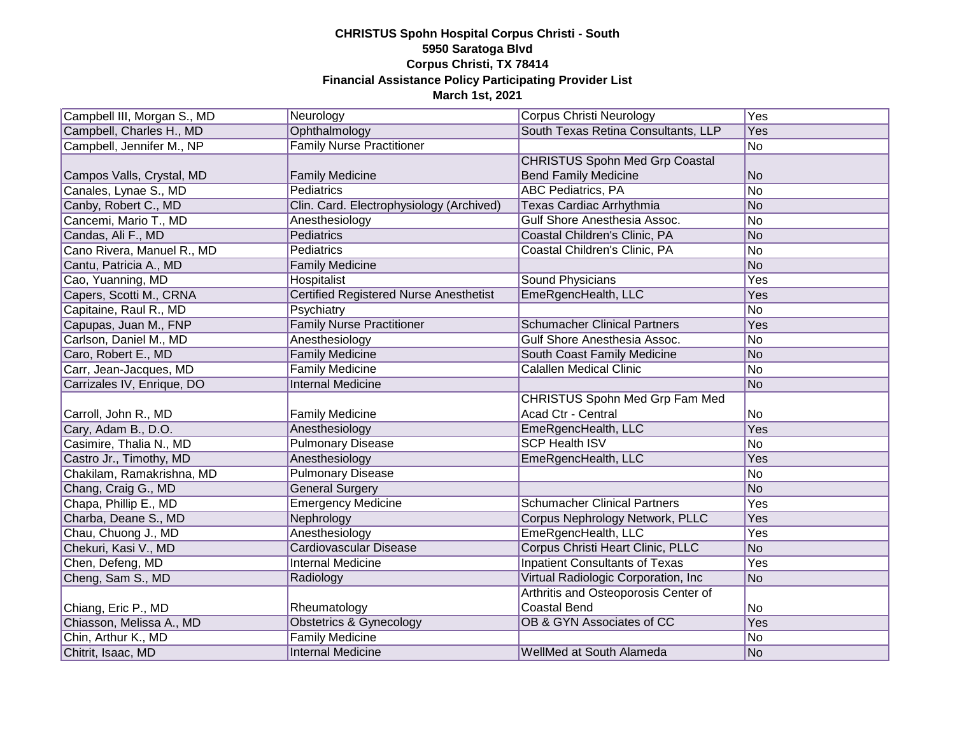| Campbell III, Morgan S., MD | Neurology                                | Corpus Christi Neurology              | Yes            |
|-----------------------------|------------------------------------------|---------------------------------------|----------------|
| Campbell, Charles H., MD    | Ophthalmology                            | South Texas Retina Consultants, LLP   | Yes            |
| Campbell, Jennifer M., NP   | <b>Family Nurse Practitioner</b>         |                                       | No             |
|                             |                                          | <b>CHRISTUS Spohn Med Grp Coastal</b> |                |
| Campos Valls, Crystal, MD   | <b>Family Medicine</b>                   | <b>Bend Family Medicine</b>           | No             |
| Canales, Lynae S., MD       | Pediatrics                               | <b>ABC Pediatrics, PA</b>             | No             |
| Canby, Robert C., MD        | Clin. Card. Electrophysiology (Archived) | Texas Cardiac Arrhythmia              | No             |
| Cancemi, Mario T., MD       | Anesthesiology                           | Gulf Shore Anesthesia Assoc.          | No             |
| Candas, Ali F., MD          | Pediatrics                               | Coastal Children's Clinic, PA         | No             |
| Cano Rivera, Manuel R., MD  | Pediatrics                               | Coastal Children's Clinic, PA         | No             |
| Cantu, Patricia A., MD      | <b>Family Medicine</b>                   |                                       | No             |
| Cao, Yuanning, MD           | Hospitalist                              | Sound Physicians                      | Yes            |
| Capers, Scotti M., CRNA     | Certified Registered Nurse Anesthetist   | EmeRgencHealth, LLC                   | Yes            |
| Capitaine, Raul R., MD      | Psychiatry                               |                                       | No             |
| Capupas, Juan M., FNP       | <b>Family Nurse Practitioner</b>         | <b>Schumacher Clinical Partners</b>   | Yes            |
| Carlson, Daniel M., MD      | Anesthesiology                           | Gulf Shore Anesthesia Assoc.          | No             |
| Caro, Robert E., MD         | <b>Family Medicine</b>                   | South Coast Family Medicine           | No             |
| Carr, Jean-Jacques, MD      | <b>Family Medicine</b>                   | <b>Calallen Medical Clinic</b>        | No             |
| Carrizales IV, Enrique, DO  | <b>Internal Medicine</b>                 |                                       | No             |
|                             |                                          | CHRISTUS Spohn Med Grp Fam Med        |                |
| Carroll, John R., MD        | <b>Family Medicine</b>                   | Acad Ctr - Central                    | N <sub>o</sub> |
| Cary, Adam B., D.O.         | Anesthesiology                           | EmeRgencHealth, LLC                   | Yes            |
| Casimire, Thalia N., MD     | <b>Pulmonary Disease</b>                 | <b>SCP Health ISV</b>                 | No             |
| Castro Jr., Timothy, MD     | Anesthesiology                           | EmeRgencHealth, LLC                   | Yes            |
| Chakilam, Ramakrishna, MD   | <b>Pulmonary Disease</b>                 |                                       | No             |
| Chang, Craig G., MD         | <b>General Surgery</b>                   |                                       | No             |
| Chapa, Phillip E., MD       | <b>Emergency Medicine</b>                | <b>Schumacher Clinical Partners</b>   | Yes            |
| Charba, Deane S., MD        | Nephrology                               | Corpus Nephrology Network, PLLC       | Yes            |
| Chau, Chuong J., MD         | Anesthesiology                           | EmeRgencHealth, LLC                   | Yes            |
| Chekuri, Kasi V., MD        | Cardiovascular Disease                   | Corpus Christi Heart Clinic, PLLC     | No             |
| Chen, Defeng, MD            | Internal Medicine                        | <b>Inpatient Consultants of Texas</b> | Yes            |
| Cheng, Sam S., MD           | Radiology                                | Virtual Radiologic Corporation, Inc.  | No             |
|                             |                                          | Arthritis and Osteoporosis Center of  |                |
| Chiang, Eric P., MD         | Rheumatology                             | <b>Coastal Bend</b>                   | N <sub>o</sub> |
| Chiasson, Melissa A., MD    | <b>Obstetrics &amp; Gynecology</b>       | OB & GYN Associates of CC             | Yes            |
| Chin, Arthur K., MD         | <b>Family Medicine</b>                   |                                       | No             |
| Chitrit, Isaac, MD          | <b>Internal Medicine</b>                 | WellMed at South Alameda              | No             |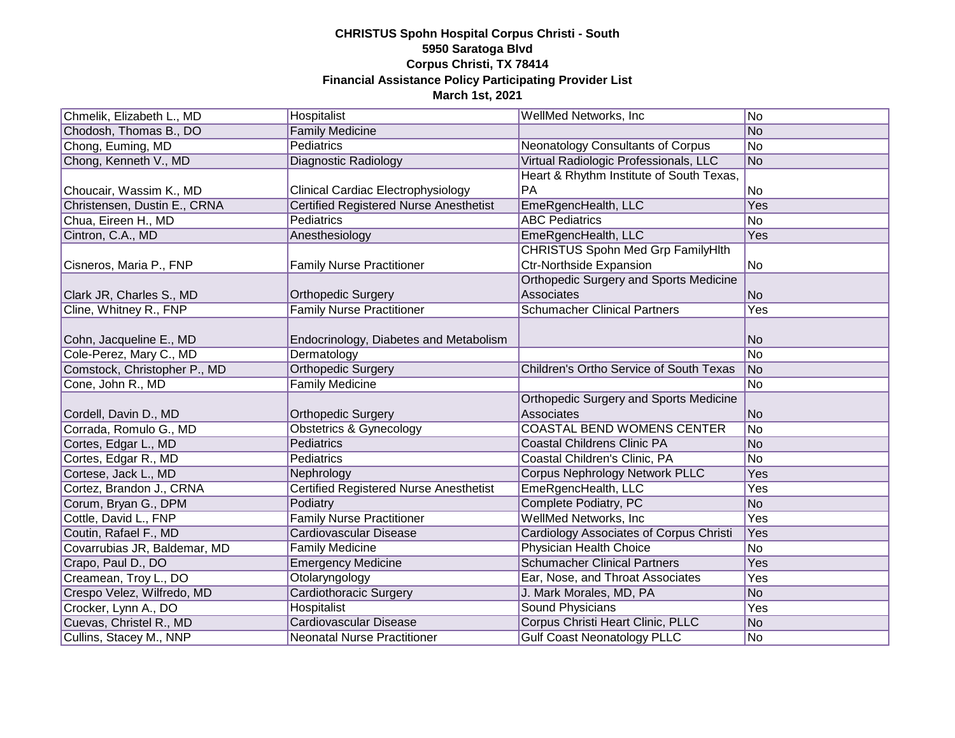| Chmelik, Elizabeth L., MD    | Hospitalist                                   | <b>WellMed Networks, Inc.</b>                  | No             |
|------------------------------|-----------------------------------------------|------------------------------------------------|----------------|
| Chodosh, Thomas B., DO       | <b>Family Medicine</b>                        |                                                | No             |
| Chong, Euming, MD            | <b>Pediatrics</b>                             | Neonatology Consultants of Corpus              | No             |
| Chong, Kenneth V., MD        | Diagnostic Radiology                          | Virtual Radiologic Professionals, LLC          | No             |
|                              |                                               | Heart & Rhythm Institute of South Texas,       |                |
| Choucair, Wassim K., MD      | Clinical Cardiac Electrophysiology            | PA                                             | No             |
| Christensen, Dustin E., CRNA | <b>Certified Registered Nurse Anesthetist</b> | EmeRgencHealth, LLC                            | Yes            |
| Chua, Eireen H., MD          | Pediatrics                                    | <b>ABC Pediatrics</b>                          | No             |
| Cintron, C.A., MD            | Anesthesiology                                | EmeRgencHealth, LLC                            | Yes            |
|                              |                                               | <b>CHRISTUS Spohn Med Grp FamilyHlth</b>       |                |
| Cisneros, Maria P., FNP      | <b>Family Nurse Practitioner</b>              | <b>Ctr-Northside Expansion</b>                 | N <sub>o</sub> |
|                              |                                               | Orthopedic Surgery and Sports Medicine         |                |
| Clark JR, Charles S., MD     | <b>Orthopedic Surgery</b>                     | Associates                                     | No             |
| Cline, Whitney R., FNP       | <b>Family Nurse Practitioner</b>              | <b>Schumacher Clinical Partners</b>            | Yes            |
|                              |                                               |                                                |                |
| Cohn, Jacqueline E., MD      | Endocrinology, Diabetes and Metabolism        |                                                | No             |
| Cole-Perez, Mary C., MD      | Dermatology                                   |                                                | No             |
| Comstock, Christopher P., MD | <b>Orthopedic Surgery</b>                     | Children's Ortho Service of South Texas        | No             |
| Cone, John R., MD            | <b>Family Medicine</b>                        |                                                | N <sub>o</sub> |
|                              |                                               | Orthopedic Surgery and Sports Medicine         |                |
| Cordell, Davin D., MD        | <b>Orthopedic Surgery</b>                     | Associates                                     | No             |
| Corrada, Romulo G., MD       | <b>Obstetrics &amp; Gynecology</b>            | <b>COASTAL BEND WOMENS CENTER</b>              | No             |
| Cortes, Edgar L., MD         | <b>Pediatrics</b>                             | <b>Coastal Childrens Clinic PA</b>             | No             |
| Cortes, Edgar R., MD         | Pediatrics                                    | Coastal Children's Clinic, PA                  | No             |
| Cortese, Jack L., MD         | Nephrology                                    | <b>Corpus Nephrology Network PLLC</b>          | Yes            |
| Cortez, Brandon J., CRNA     | Certified Registered Nurse Anesthetist        | EmeRgencHealth, LLC                            | Yes            |
| Corum, Bryan G., DPM         | Podiatry                                      | Complete Podiatry, PC                          | No             |
| Cottle, David L., FNP        | <b>Family Nurse Practitioner</b>              | WellMed Networks, Inc.                         | Yes            |
| Coutin, Rafael F., MD        | Cardiovascular Disease                        | <b>Cardiology Associates of Corpus Christi</b> | Yes            |
| Covarrubias JR, Baldemar, MD | <b>Family Medicine</b>                        | Physician Health Choice                        | No             |
| Crapo, Paul D., DO           | <b>Emergency Medicine</b>                     | <b>Schumacher Clinical Partners</b>            | Yes            |
| Creamean, Troy L., DO        | Otolaryngology                                | Ear, Nose, and Throat Associates               | Yes            |
| Crespo Velez, Wilfredo, MD   | Cardiothoracic Surgery                        | J. Mark Morales, MD, PA                        | No             |
| Crocker, Lynn A., DO         | Hospitalist                                   | <b>Sound Physicians</b>                        | Yes            |
| Cuevas, Christel R., MD      | <b>Cardiovascular Disease</b>                 | Corpus Christi Heart Clinic, PLLC              | No             |
| Cullins, Stacey M., NNP      | <b>Neonatal Nurse Practitioner</b>            | <b>Gulf Coast Neonatology PLLC</b>             | No             |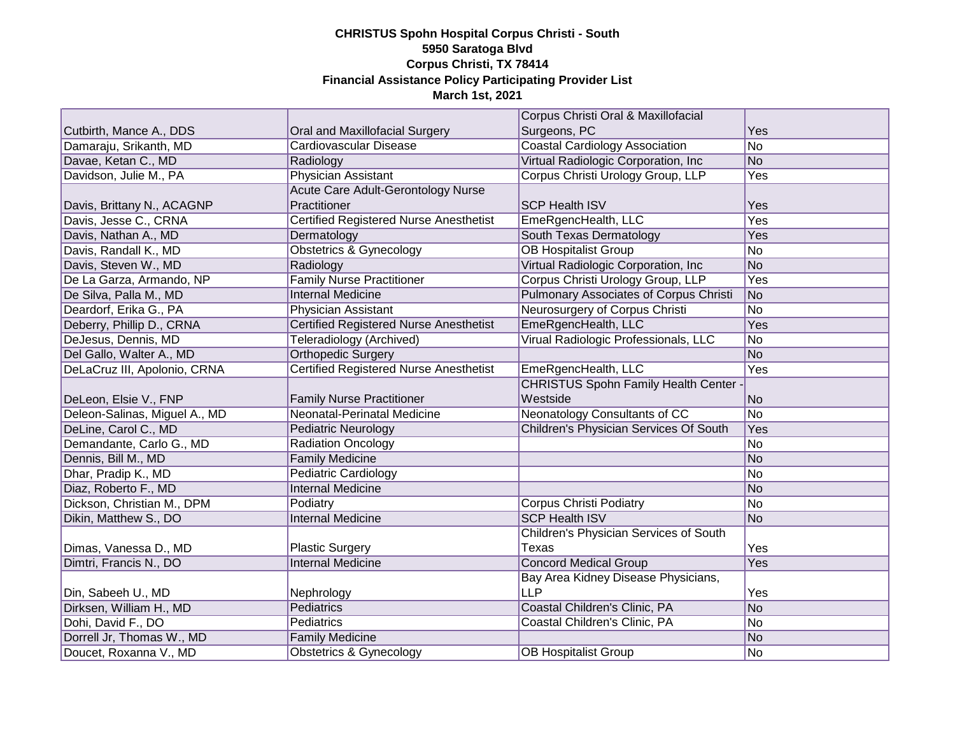|                               |                                               | Corpus Christi Oral & Maxillofacial           |                |
|-------------------------------|-----------------------------------------------|-----------------------------------------------|----------------|
| Cutbirth, Mance A., DDS       | Oral and Maxillofacial Surgery                | Surgeons, PC                                  | Yes            |
| Damaraju, Srikanth, MD        | Cardiovascular Disease                        | <b>Coastal Cardiology Association</b>         | No             |
| Davae, Ketan C., MD           | Radiology                                     | Virtual Radiologic Corporation, Inc.          | No             |
| Davidson, Julie M., PA        | <b>Physician Assistant</b>                    | Corpus Christi Urology Group, LLP             | Yes            |
|                               | <b>Acute Care Adult-Gerontology Nurse</b>     |                                               |                |
| Davis, Brittany N., ACAGNP    | Practitioner                                  | <b>SCP Health ISV</b>                         | Yes            |
| Davis, Jesse C., CRNA         | <b>Certified Registered Nurse Anesthetist</b> | EmeRgencHealth, LLC                           | Yes            |
| Davis, Nathan A., MD          | Dermatology                                   | South Texas Dermatology                       | Yes            |
| Davis, Randall K., MD         | <b>Obstetrics &amp; Gynecology</b>            | <b>OB Hospitalist Group</b>                   | No             |
| Davis, Steven W., MD          | Radiology                                     | Virtual Radiologic Corporation, Inc.          | No             |
| De La Garza, Armando, NP      | <b>Family Nurse Practitioner</b>              | Corpus Christi Urology Group, LLP             | Yes            |
| De Silva, Palla M., MD        | <b>Internal Medicine</b>                      | Pulmonary Associates of Corpus Christi        | No             |
| Deardorf, Erika G., PA        | Physician Assistant                           | Neurosurgery of Corpus Christi                | No             |
| Deberry, Phillip D., CRNA     | <b>Certified Registered Nurse Anesthetist</b> | EmeRgencHealth, LLC                           | Yes            |
| DeJesus, Dennis, MD           | Teleradiology (Archived)                      | Virual Radiologic Professionals, LLC          | No             |
| Del Gallo, Walter A., MD      | <b>Orthopedic Surgery</b>                     |                                               | No             |
| DeLaCruz III, Apolonio, CRNA  | <b>Certified Registered Nurse Anesthetist</b> | EmeRgencHealth, LLC                           | Yes            |
|                               |                                               | <b>CHRISTUS Spohn Family Health Center</b>    |                |
| DeLeon, Elsie V., FNP         | <b>Family Nurse Practitioner</b>              | Westside                                      | No             |
| Deleon-Salinas, Miguel A., MD | Neonatal-Perinatal Medicine                   | Neonatology Consultants of CC                 | No             |
| DeLine, Carol C., MD          | Pediatric Neurology                           | <b>Children's Physician Services Of South</b> | Yes            |
| Demandante, Carlo G., MD      | <b>Radiation Oncology</b>                     |                                               | No             |
| Dennis, Bill M., MD           | <b>Family Medicine</b>                        |                                               | No             |
| Dhar, Pradip K., MD           | Pediatric Cardiology                          |                                               | No             |
| Diaz, Roberto F., MD          | <b>Internal Medicine</b>                      |                                               | No             |
| Dickson, Christian M., DPM    | Podiatry                                      | <b>Corpus Christi Podiatry</b>                | No             |
| Dikin, Matthew S., DO         | <b>Internal Medicine</b>                      | <b>SCP Health ISV</b>                         | No             |
|                               |                                               | Children's Physician Services of South        |                |
| Dimas, Vanessa D., MD         | <b>Plastic Surgery</b>                        | Texas                                         | Yes            |
| Dimtri, Francis N., DO        | <b>Internal Medicine</b>                      | <b>Concord Medical Group</b>                  | Yes            |
|                               |                                               | Bay Area Kidney Disease Physicians,           |                |
| Din, Sabeeh U., MD            | Nephrology                                    | LLP                                           | Yes            |
| Dirksen, William H., MD       | Pediatrics                                    | Coastal Children's Clinic, PA                 | No             |
| Dohi, David F., DO            | Pediatrics                                    | Coastal Children's Clinic, PA                 | No             |
| Dorrell Jr, Thomas W., MD     | <b>Family Medicine</b>                        |                                               | No             |
| Doucet, Roxanna V., MD        | Obstetrics & Gynecology                       | <b>OB Hospitalist Group</b>                   | N <sub>o</sub> |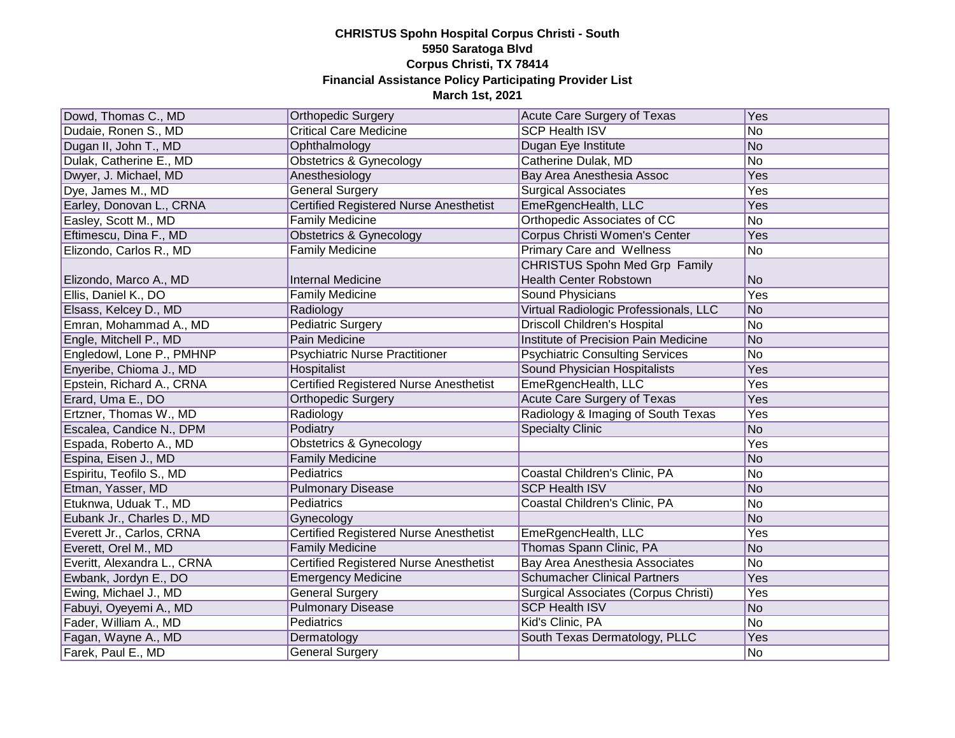| Dowd, Thomas C., MD         | <b>Orthopedic Surgery</b>                     | Acute Care Surgery of Texas            | Yes |
|-----------------------------|-----------------------------------------------|----------------------------------------|-----|
| Dudaie, Ronen S., MD        | <b>Critical Care Medicine</b>                 | <b>SCP Health ISV</b>                  | No  |
| Dugan II, John T., MD       | Ophthalmology                                 | Dugan Eye Institute                    | No  |
| Dulak, Catherine E., MD     | Obstetrics & Gynecology                       | Catherine Dulak, MD                    | No  |
| Dwyer, J. Michael, MD       | Anesthesiology                                | Bay Area Anesthesia Assoc              | Yes |
| Dye, James M., MD           | General Surgery                               | <b>Surgical Associates</b>             | Yes |
| Earley, Donovan L., CRNA    | Certified Registered Nurse Anesthetist        | EmeRgencHealth, LLC                    | Yes |
| Easley, Scott M., MD        | <b>Family Medicine</b>                        | Orthopedic Associates of CC            | No  |
| Eftimescu, Dina F., MD      | Obstetrics & Gynecology                       | Corpus Christi Women's Center          | Yes |
| Elizondo, Carlos R., MD     | <b>Family Medicine</b>                        | <b>Primary Care and Wellness</b>       | No  |
|                             |                                               | CHRISTUS Spohn Med Grp Family          |     |
| Elizondo, Marco A., MD      | <b>Internal Medicine</b>                      | <b>Health Center Robstown</b>          | No  |
| Ellis, Daniel K., DO        | <b>Family Medicine</b>                        | Sound Physicians                       | Yes |
| Elsass, Kelcey D., MD       | Radiology                                     | Virtual Radiologic Professionals, LLC  | No  |
| Emran, Mohammad A., MD      | <b>Pediatric Surgery</b>                      | <b>Driscoll Children's Hospital</b>    | No  |
| Engle, Mitchell P., MD      | Pain Medicine                                 | Institute of Precision Pain Medicine   | No  |
| Engledowl, Lone P., PMHNP   | <b>Psychiatric Nurse Practitioner</b>         | <b>Psychiatric Consulting Services</b> | No  |
| Enyeribe, Chioma J., MD     | Hospitalist                                   | Sound Physician Hospitalists           | Yes |
| Epstein, Richard A., CRNA   | <b>Certified Registered Nurse Anesthetist</b> | EmeRgencHealth, LLC                    | Yes |
| Erard, Uma E., DO           | Orthopedic Surgery                            | <b>Acute Care Surgery of Texas</b>     | Yes |
| Ertzner, Thomas W., MD      | Radiology                                     | Radiology & Imaging of South Texas     | Yes |
| Escalea, Candice N., DPM    | Podiatry                                      | <b>Specialty Clinic</b>                | No  |
| Espada, Roberto A., MD      | <b>Obstetrics &amp; Gynecology</b>            |                                        | Yes |
| Espina, Eisen J., MD        | <b>Family Medicine</b>                        |                                        | No  |
| Espiritu, Teofilo S., MD    | Pediatrics                                    | Coastal Children's Clinic, PA          | No  |
| Etman, Yasser, MD           | <b>Pulmonary Disease</b>                      | <b>SCP Health ISV</b>                  | No  |
| Etuknwa, Uduak T., MD       | Pediatrics                                    | Coastal Children's Clinic, PA          | No  |
| Eubank Jr., Charles D., MD  | Gynecology                                    |                                        | No  |
| Everett Jr., Carlos, CRNA   | <b>Certified Registered Nurse Anesthetist</b> | EmeRgencHealth, LLC                    | Yes |
| Everett, Orel M., MD        | <b>Family Medicine</b>                        | Thomas Spann Clinic, PA                | No  |
| Everitt, Alexandra L., CRNA | <b>Certified Registered Nurse Anesthetist</b> | Bay Area Anesthesia Associates         | No  |
| Ewbank, Jordyn E., DO       | <b>Emergency Medicine</b>                     | <b>Schumacher Clinical Partners</b>    | Yes |
| Ewing, Michael J., MD       | <b>General Surgery</b>                        | Surgical Associates (Corpus Christi)   | Yes |
| Fabuyi, Oyeyemi A., MD      | <b>Pulmonary Disease</b>                      | <b>SCP Health ISV</b>                  | No  |
| Fader, William A., MD       | Pediatrics                                    | Kid's Clinic, PA                       | No  |
| Fagan, Wayne A., MD         | Dermatology                                   | South Texas Dermatology, PLLC          | Yes |
| Farek, Paul E., MD          | <b>General Surgery</b>                        |                                        | No  |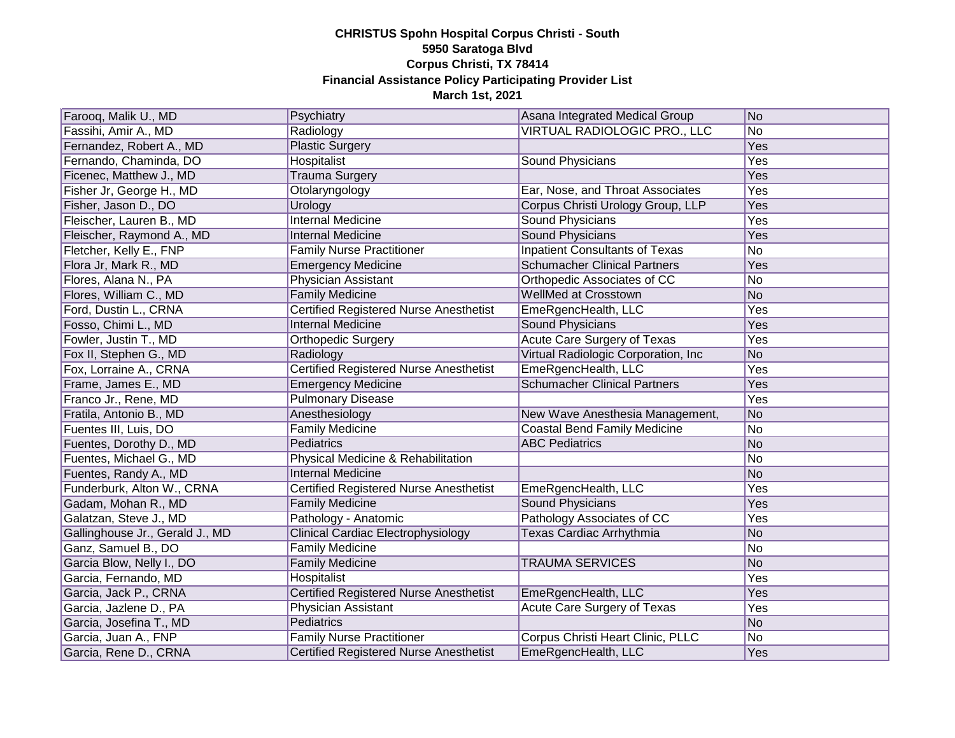| Farooq, Malik U., MD            | Psychiatry                                    | Asana Integrated Medical Group        | No  |
|---------------------------------|-----------------------------------------------|---------------------------------------|-----|
| Fassihi, Amir A., MD            | Radiology                                     | VIRTUAL RADIOLOGIC PRO., LLC          | No  |
| Fernandez, Robert A., MD        | <b>Plastic Surgery</b>                        |                                       | Yes |
| Fernando, Chaminda, DO          | Hospitalist                                   | Sound Physicians                      | Yes |
| Ficenec, Matthew J., MD         | Trauma Surgery                                |                                       | Yes |
| Fisher Jr, George H., MD        | Otolaryngology                                | Ear, Nose, and Throat Associates      | Yes |
| Fisher, Jason D., DO            | Urology                                       | Corpus Christi Urology Group, LLP     | Yes |
| Fleischer, Lauren B., MD        | <b>Internal Medicine</b>                      | <b>Sound Physicians</b>               | Yes |
| Fleischer, Raymond A., MD       | <b>Internal Medicine</b>                      | <b>Sound Physicians</b>               | Yes |
| Fletcher, Kelly E., FNP         | <b>Family Nurse Practitioner</b>              | <b>Inpatient Consultants of Texas</b> | No  |
| Flora Jr, Mark R., MD           | <b>Emergency Medicine</b>                     | <b>Schumacher Clinical Partners</b>   | Yes |
| Flores, Alana N., PA            | Physician Assistant                           | Orthopedic Associates of CC           | No  |
| Flores, William C., MD          | <b>Family Medicine</b>                        | WellMed at Crosstown                  | No  |
| Ford, Dustin L., CRNA           | Certified Registered Nurse Anesthetist        | EmeRgencHealth, LLC                   | Yes |
| Fosso, Chimi L., MD             | <b>Internal Medicine</b>                      | Sound Physicians                      | Yes |
| Fowler, Justin T., MD           | Orthopedic Surgery                            | <b>Acute Care Surgery of Texas</b>    | Yes |
| Fox II, Stephen G., MD          | Radiology                                     | Virtual Radiologic Corporation, Inc.  | No  |
| Fox, Lorraine A., CRNA          | <b>Certified Registered Nurse Anesthetist</b> | EmeRgencHealth, LLC                   | Yes |
| Frame, James E., MD             | <b>Emergency Medicine</b>                     | <b>Schumacher Clinical Partners</b>   | Yes |
| Franco Jr., Rene, MD            | <b>Pulmonary Disease</b>                      |                                       | Yes |
| Fratila, Antonio B., MD         | Anesthesiology                                | New Wave Anesthesia Management,       | No  |
| Fuentes III, Luis, DO           | <b>Family Medicine</b>                        | <b>Coastal Bend Family Medicine</b>   | No  |
| Fuentes, Dorothy D., MD         | <b>Pediatrics</b>                             | <b>ABC Pediatrics</b>                 | No  |
| Fuentes, Michael G., MD         | Physical Medicine & Rehabilitation            |                                       | No  |
| Fuentes, Randy A., MD           | <b>Internal Medicine</b>                      |                                       | No  |
| Funderburk, Alton W., CRNA      | <b>Certified Registered Nurse Anesthetist</b> | EmeRgencHealth, LLC                   | Yes |
| Gadam, Mohan R., MD             | <b>Family Medicine</b>                        | <b>Sound Physicians</b>               | Yes |
| Galatzan, Steve J., MD          | Pathology - Anatomic                          | Pathology Associates of CC            | Yes |
| Gallinghouse Jr., Gerald J., MD | <b>Clinical Cardiac Electrophysiology</b>     | Texas Cardiac Arrhythmia              | No  |
| Ganz, Samuel B., DO             | <b>Family Medicine</b>                        |                                       | No  |
| Garcia Blow, Nelly I., DO       | <b>Family Medicine</b>                        | <b>TRAUMA SERVICES</b>                | No  |
| Garcia, Fernando, MD            | Hospitalist                                   |                                       | Yes |
| Garcia, Jack P., CRNA           | Certified Registered Nurse Anesthetist        | EmeRgencHealth, LLC                   | Yes |
| Garcia, Jazlene D., PA          | Physician Assistant                           | <b>Acute Care Surgery of Texas</b>    | Yes |
| Garcia, Josefina T., MD         | Pediatrics                                    |                                       | No  |
| Garcia, Juan A., FNP            | <b>Family Nurse Practitioner</b>              | Corpus Christi Heart Clinic, PLLC     | No  |
| Garcia, Rene D., CRNA           | Certified Registered Nurse Anesthetist        | EmeRgencHealth, LLC                   | Yes |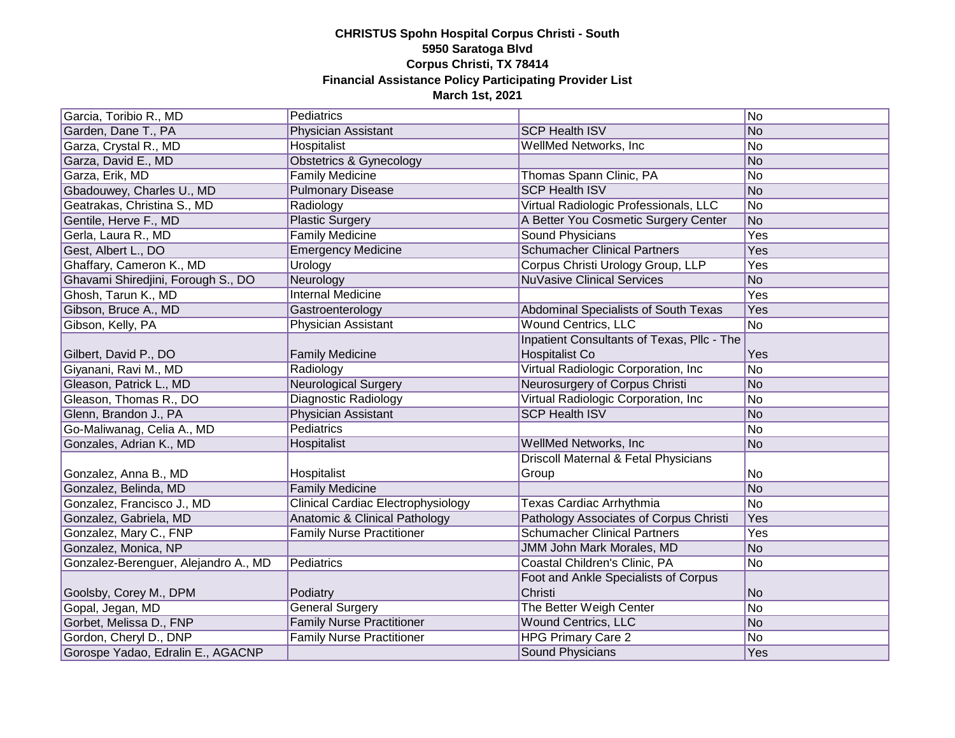| Garcia, Toribio R., MD               | Pediatrics                                |                                            | No         |
|--------------------------------------|-------------------------------------------|--------------------------------------------|------------|
| Garden, Dane T., PA                  | Physician Assistant                       | <b>SCP Health ISV</b>                      | No         |
| Garza, Crystal R., MD                | Hospitalist                               | WellMed Networks, Inc                      | No         |
| Garza, David E., MD                  | Obstetrics & Gynecology                   |                                            | No         |
| Garza, Erik, MD                      | <b>Family Medicine</b>                    | Thomas Spann Clinic, PA                    | No         |
| Gbadouwey, Charles U., MD            | <b>Pulmonary Disease</b>                  | <b>SCP Health ISV</b>                      | No         |
| Geatrakas, Christina S., MD          | Radiology                                 | Virtual Radiologic Professionals, LLC      | No         |
| Gentile, Herve F., MD                | <b>Plastic Surgery</b>                    | A Better You Cosmetic Surgery Center       | No         |
| Gerla, Laura R., MD                  | <b>Family Medicine</b>                    | <b>Sound Physicians</b>                    | <b>Yes</b> |
| Gest, Albert L., DO                  | <b>Emergency Medicine</b>                 | <b>Schumacher Clinical Partners</b>        | Yes        |
| Ghaffary, Cameron K., MD             | Urology                                   | Corpus Christi Urology Group, LLP          | <b>Yes</b> |
| Ghavami Shiredjini, Forough S., DO   | Neurology                                 | <b>NuVasive Clinical Services</b>          | No         |
| Ghosh, Tarun K., MD                  | <b>Internal Medicine</b>                  |                                            | Yes        |
| Gibson, Bruce A., MD                 | Gastroenterology                          | Abdominal Specialists of South Texas       | Yes        |
| Gibson, Kelly, PA                    | Physician Assistant                       | <b>Wound Centrics, LLC</b>                 | No         |
|                                      |                                           | Inpatient Consultants of Texas, Pllc - The |            |
| Gilbert, David P., DO                | <b>Family Medicine</b>                    | Hospitalist Co                             | Yes        |
| Giyanani, Ravi M., MD                | Radiology                                 | Virtual Radiologic Corporation, Inc.       | No         |
| Gleason, Patrick L., MD              | <b>Neurological Surgery</b>               | Neurosurgery of Corpus Christi             | No         |
| Gleason, Thomas R., DO               | Diagnostic Radiology                      | Virtual Radiologic Corporation, Inc.       | No         |
| Glenn, Brandon J., PA                | Physician Assistant                       | <b>SCP Health ISV</b>                      | No         |
| Go-Maliwanag, Celia A., MD           | <b>Pediatrics</b>                         |                                            | No         |
| Gonzales, Adrian K., MD              | Hospitalist                               | WellMed Networks, Inc                      | No         |
|                                      |                                           | Driscoll Maternal & Fetal Physicians       |            |
| Gonzalez, Anna B., MD                | Hospitalist                               | Group                                      | No         |
| Gonzalez, Belinda, MD                | <b>Family Medicine</b>                    |                                            | No         |
| Gonzalez, Francisco J., MD           | <b>Clinical Cardiac Electrophysiology</b> | Texas Cardiac Arrhythmia                   | No         |
| Gonzalez, Gabriela, MD               | Anatomic & Clinical Pathology             | Pathology Associates of Corpus Christi     | Yes        |
| Gonzalez, Mary C., FNP               | <b>Family Nurse Practitioner</b>          | <b>Schumacher Clinical Partners</b>        | Yes        |
| Gonzalez, Monica, NP                 |                                           | JMM John Mark Morales, MD                  | No         |
| Gonzalez-Berenguer, Alejandro A., MD | Pediatrics                                | Coastal Children's Clinic, PA              | No         |
|                                      |                                           | Foot and Ankle Specialists of Corpus       |            |
| Goolsby, Corey M., DPM               | Podiatry                                  | Christi                                    | No         |
| Gopal, Jegan, MD                     | <b>General Surgery</b>                    | The Better Weigh Center                    | No         |
| Gorbet, Melissa D., FNP              | <b>Family Nurse Practitioner</b>          | <b>Wound Centrics, LLC</b>                 | No         |
| Gordon, Cheryl D., DNP               | <b>Family Nurse Practitioner</b>          | <b>HPG Primary Care 2</b>                  | No         |
| Gorospe Yadao, Edralin E., AGACNP    |                                           | Sound Physicians                           | Yes        |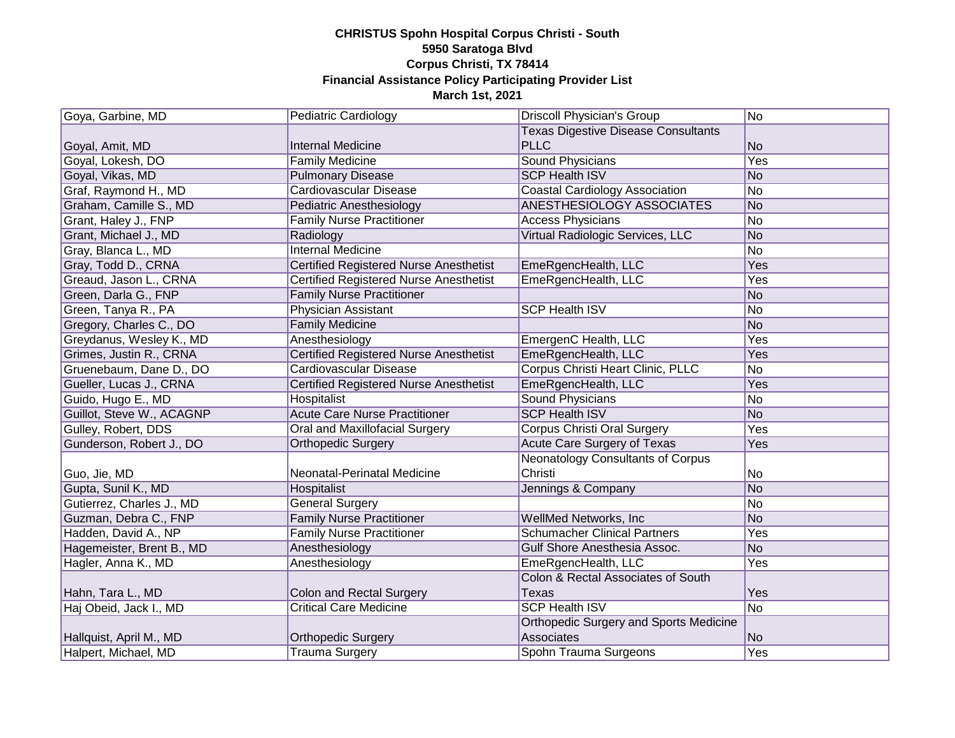| Goya, Garbine, MD         | <b>Pediatric Cardiology</b>                   | <b>Driscoll Physician's Group</b>             | No         |
|---------------------------|-----------------------------------------------|-----------------------------------------------|------------|
|                           |                                               | <b>Texas Digestive Disease Consultants</b>    |            |
| Goyal, Amit, MD           | <b>Internal Medicine</b>                      | <b>PLLC</b>                                   | No         |
| Goyal, Lokesh, DO         | <b>Family Medicine</b>                        | <b>Sound Physicians</b>                       | <b>Yes</b> |
| Goyal, Vikas, MD          | <b>Pulmonary Disease</b>                      | <b>SCP Health ISV</b>                         | No         |
| Graf, Raymond H., MD      | Cardiovascular Disease                        | <b>Coastal Cardiology Association</b>         | No         |
| Graham, Camille S., MD    | Pediatric Anesthesiology                      | ANESTHESIOLOGY ASSOCIATES                     | No         |
| Grant, Haley J., FNP      | <b>Family Nurse Practitioner</b>              | <b>Access Physicians</b>                      | No         |
| Grant, Michael J., MD     | Radiology                                     | Virtual Radiologic Services, LLC              | No         |
| Gray, Blanca L., MD       | <b>Internal Medicine</b>                      |                                               | No         |
| Gray, Todd D., CRNA       | Certified Registered Nurse Anesthetist        | EmeRgencHealth, LLC                           | Yes        |
| Greaud, Jason L., CRNA    | Certified Registered Nurse Anesthetist        | EmeRgencHealth, LLC                           | Yes        |
| Green, Darla G., FNP      | <b>Family Nurse Practitioner</b>              |                                               | No         |
| Green, Tanya R., PA       | Physician Assistant                           | <b>SCP Health ISV</b>                         | No         |
| Gregory, Charles C., DO   | <b>Family Medicine</b>                        |                                               | No         |
| Greydanus, Wesley K., MD  | Anesthesiology                                | EmergenC Health, LLC                          | Yes        |
| Grimes, Justin R., CRNA   | <b>Certified Registered Nurse Anesthetist</b> | EmeRgencHealth, LLC                           | Yes        |
| Gruenebaum, Dane D., DO   | Cardiovascular Disease                        | Corpus Christi Heart Clinic, PLLC             | No         |
| Gueller, Lucas J., CRNA   | Certified Registered Nurse Anesthetist        | EmeRgencHealth, LLC                           | Yes        |
| Guido, Hugo E., MD        | Hospitalist                                   | Sound Physicians                              | No         |
| Guillot, Steve W., ACAGNP | <b>Acute Care Nurse Practitioner</b>          | <b>SCP Health ISV</b>                         | No         |
| Gulley, Robert, DDS       | <b>Oral and Maxillofacial Surgery</b>         | <b>Corpus Christi Oral Surgery</b>            | Yes        |
| Gunderson, Robert J., DO  | <b>Orthopedic Surgery</b>                     | Acute Care Surgery of Texas                   | Yes        |
|                           |                                               | Neonatology Consultants of Corpus             |            |
| Guo, Jie, MD              | Neonatal-Perinatal Medicine                   | Christi                                       | No         |
| Gupta, Sunil K., MD       | Hospitalist                                   | Jennings & Company                            | No         |
| Gutierrez, Charles J., MD | <b>General Surgery</b>                        |                                               | No         |
| Guzman, Debra C., FNP     | <b>Family Nurse Practitioner</b>              | WellMed Networks, Inc.                        | No         |
| Hadden, David A., NP      | <b>Family Nurse Practitioner</b>              | <b>Schumacher Clinical Partners</b>           | Yes        |
| Hagemeister, Brent B., MD | Anesthesiology                                | Gulf Shore Anesthesia Assoc.                  | No         |
| Hagler, Anna K., MD       | Anesthesiology                                | EmeRgencHealth, LLC                           | Yes        |
|                           |                                               | Colon & Rectal Associates of South            |            |
| Hahn, Tara L., MD         | <b>Colon and Rectal Surgery</b>               | Texas                                         | Yes        |
| Haj Obeid, Jack I., MD    | <b>Critical Care Medicine</b>                 | <b>SCP Health ISV</b>                         | No         |
|                           |                                               | <b>Orthopedic Surgery and Sports Medicine</b> |            |
| Hallquist, April M., MD   | <b>Orthopedic Surgery</b>                     | Associates                                    | No         |
| Halpert, Michael, MD      | <b>Trauma Surgery</b>                         | Spohn Trauma Surgeons                         | Yes        |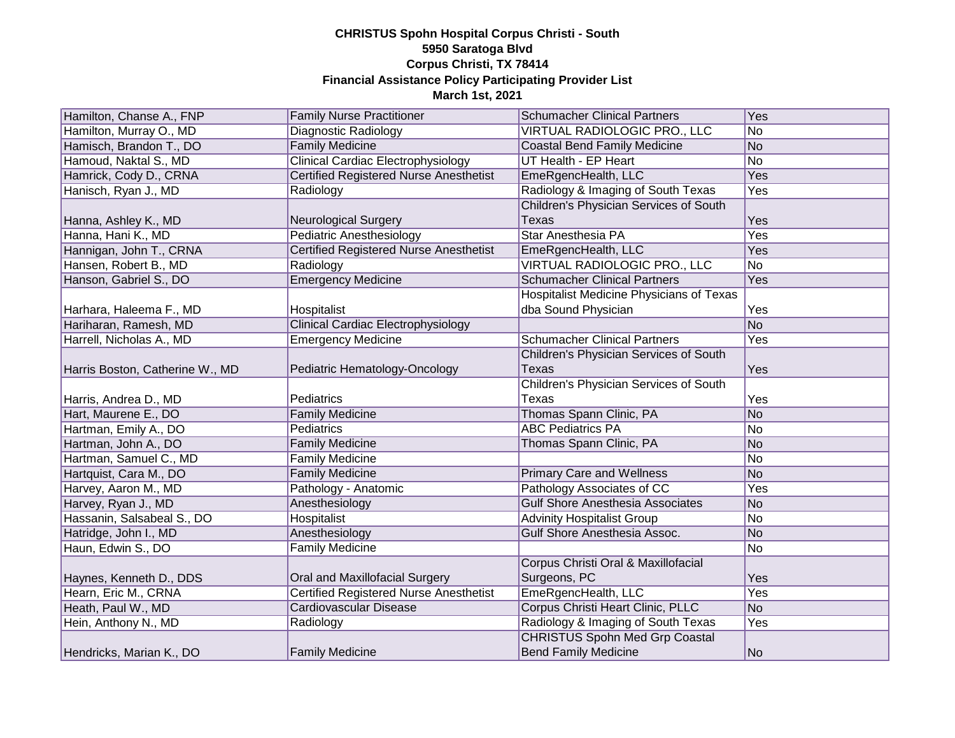| Hamilton, Chanse A., FNP        | <b>Family Nurse Practitioner</b>              | <b>Schumacher Clinical Partners</b>      | Yes            |
|---------------------------------|-----------------------------------------------|------------------------------------------|----------------|
| Hamilton, Murray O., MD         | Diagnostic Radiology                          | VIRTUAL RADIOLOGIC PRO., LLC             | No             |
| Hamisch, Brandon T., DO         | <b>Family Medicine</b>                        | <b>Coastal Bend Family Medicine</b>      | No             |
| Hamoud, Naktal S., MD           | <b>Clinical Cardiac Electrophysiology</b>     | UT Health - EP Heart                     | N <sub>o</sub> |
| Hamrick, Cody D., CRNA          | <b>Certified Registered Nurse Anesthetist</b> | EmeRgencHealth, LLC                      | Yes            |
| Hanisch, Ryan J., MD            | Radiology                                     | Radiology & Imaging of South Texas       | <b>Yes</b>     |
|                                 |                                               | Children's Physician Services of South   |                |
| Hanna, Ashley K., MD            | <b>Neurological Surgery</b>                   | Texas                                    | Yes            |
| Hanna, Hani K., MD              | <b>Pediatric Anesthesiology</b>               | Star Anesthesia PA                       | Yes            |
| Hannigan, John T., CRNA         | <b>Certified Registered Nurse Anesthetist</b> | EmeRgencHealth, LLC                      | <b>Yes</b>     |
| Hansen, Robert B., MD           | Radiology                                     | VIRTUAL RADIOLOGIC PRO., LLC             | N <sub>o</sub> |
| Hanson, Gabriel S., DO          | <b>Emergency Medicine</b>                     | <b>Schumacher Clinical Partners</b>      | Yes            |
|                                 |                                               | Hospitalist Medicine Physicians of Texas |                |
| Harhara, Haleema F., MD         | Hospitalist                                   | dba Sound Physician                      | Yes            |
| Hariharan, Ramesh, MD           | <b>Clinical Cardiac Electrophysiology</b>     |                                          | No             |
| Harrell, Nicholas A., MD        | <b>Emergency Medicine</b>                     | <b>Schumacher Clinical Partners</b>      | Yes            |
|                                 |                                               | Children's Physician Services of South   |                |
| Harris Boston, Catherine W., MD | Pediatric Hematology-Oncology                 | <b>Texas</b>                             | Yes            |
|                                 |                                               | Children's Physician Services of South   |                |
| Harris, Andrea D., MD           | Pediatrics                                    | Texas                                    | Yes            |
| Hart, Maurene E., DO            | <b>Family Medicine</b>                        | Thomas Spann Clinic, PA                  | N <sub>o</sub> |
| Hartman, Emily A., DO           | Pediatrics                                    | <b>ABC Pediatrics PA</b>                 | No             |
| Hartman, John A., DO            | <b>Family Medicine</b>                        | Thomas Spann Clinic, PA                  | No             |
| Hartman, Samuel C., MD          | <b>Family Medicine</b>                        |                                          | No             |
| Hartquist, Cara M., DO          | <b>Family Medicine</b>                        | <b>Primary Care and Wellness</b>         | No             |
| Harvey, Aaron M., MD            | Pathology - Anatomic                          | Pathology Associates of CC               | Yes            |
| Harvey, Ryan J., MD             | Anesthesiology                                | <b>Gulf Shore Anesthesia Associates</b>  | No             |
| Hassanin, Salsabeal S., DO      | Hospitalist                                   | <b>Advinity Hospitalist Group</b>        | No             |
| Hatridge, John I., MD           | Anesthesiology                                | Gulf Shore Anesthesia Assoc.             | No             |
| Haun, Edwin S., DO              | <b>Family Medicine</b>                        |                                          | No             |
|                                 |                                               | Corpus Christi Oral & Maxillofacial      |                |
| Haynes, Kenneth D., DDS         | Oral and Maxillofacial Surgery                | Surgeons, PC                             | Yes            |
| Hearn, Eric M., CRNA            | <b>Certified Registered Nurse Anesthetist</b> | EmeRgencHealth, LLC                      | Yes            |
| Heath, Paul W., MD              | <b>Cardiovascular Disease</b>                 | Corpus Christi Heart Clinic, PLLC        | No             |
| Hein, Anthony N., MD            | Radiology                                     | Radiology & Imaging of South Texas       | Yes            |
|                                 |                                               | <b>CHRISTUS Spohn Med Grp Coastal</b>    |                |
| Hendricks, Marian K., DO        | <b>Family Medicine</b>                        | <b>Bend Family Medicine</b>              | No             |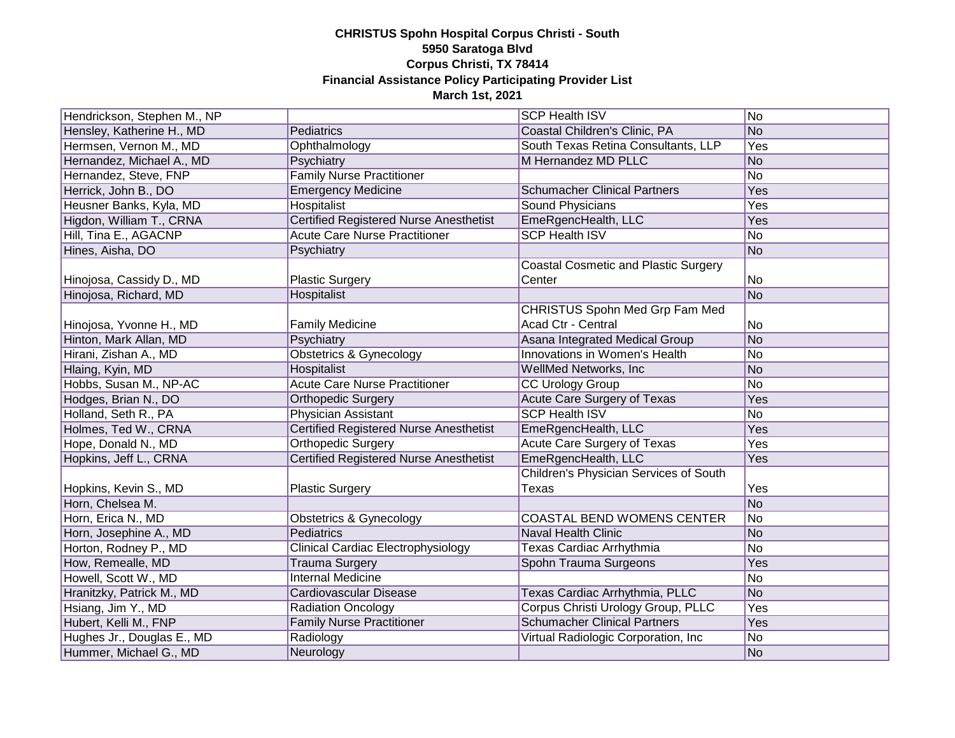| Hendrickson, Stephen M., NP |                                               | <b>SCP Health ISV</b>                       | No             |
|-----------------------------|-----------------------------------------------|---------------------------------------------|----------------|
| Hensley, Katherine H., MD   | Pediatrics                                    | Coastal Children's Clinic, PA               | No             |
| Hermsen, Vernon M., MD      | Ophthalmology                                 | South Texas Retina Consultants, LLP         | Yes            |
| Hernandez, Michael A., MD   | Psychiatry                                    | M Hernandez MD PLLC                         | No             |
| Hernandez, Steve, FNP       | <b>Family Nurse Practitioner</b>              |                                             | N <sub>o</sub> |
| Herrick, John B., DO        | <b>Emergency Medicine</b>                     | <b>Schumacher Clinical Partners</b>         | Yes            |
| Heusner Banks, Kyla, MD     | Hospitalist                                   | <b>Sound Physicians</b>                     | <b>Yes</b>     |
| Higdon, William T., CRNA    | <b>Certified Registered Nurse Anesthetist</b> | EmeRgencHealth, LLC                         | Yes            |
| Hill, Tina E., AGACNP       | <b>Acute Care Nurse Practitioner</b>          | <b>SCP Health ISV</b>                       | No             |
| Hines, Aisha, DO            | Psychiatry                                    |                                             | No             |
|                             |                                               | <b>Coastal Cosmetic and Plastic Surgery</b> |                |
| Hinojosa, Cassidy D., MD    | <b>Plastic Surgery</b>                        | Center                                      | No             |
| Hinojosa, Richard, MD       | Hospitalist                                   |                                             | No             |
|                             |                                               | CHRISTUS Spohn Med Grp Fam Med              |                |
| Hinojosa, Yvonne H., MD     | <b>Family Medicine</b>                        | Acad Ctr - Central                          | No             |
| Hinton, Mark Allan, MD      | Psychiatry                                    | Asana Integrated Medical Group              | No             |
| Hirani, Zishan A., MD       | <b>Obstetrics &amp; Gynecology</b>            | Innovations in Women's Health               | No             |
| Hlaing, Kyin, MD            | <b>Hospitalist</b>                            | WellMed Networks, Inc                       | No             |
| Hobbs, Susan M., NP-AC      | <b>Acute Care Nurse Practitioner</b>          | <b>CC Urology Group</b>                     | No             |
| Hodges, Brian N., DO        | <b>Orthopedic Surgery</b>                     | <b>Acute Care Surgery of Texas</b>          | Yes            |
| Holland, Seth R., PA        | Physician Assistant                           | <b>SCP Health ISV</b>                       | No             |
| Holmes, Ted W., CRNA        | <b>Certified Registered Nurse Anesthetist</b> | EmeRgencHealth, LLC                         | Yes            |
| Hope, Donald N., MD         | <b>Orthopedic Surgery</b>                     | Acute Care Surgery of Texas                 | Yes            |
| Hopkins, Jeff L., CRNA      | <b>Certified Registered Nurse Anesthetist</b> | EmeRgencHealth, LLC                         | Yes            |
|                             |                                               | Children's Physician Services of South      |                |
| Hopkins, Kevin S., MD       | <b>Plastic Surgery</b>                        | Texas                                       | Yes            |
| Horn, Chelsea M.            |                                               |                                             | No             |
| Horn, Erica N., MD          | Obstetrics & Gynecology                       | COASTAL BEND WOMENS CENTER                  | No             |
| Horn, Josephine A., MD      | Pediatrics                                    | Naval Health Clinic                         | No             |
| Horton, Rodney P., MD       | <b>Clinical Cardiac Electrophysiology</b>     | Texas Cardiac Arrhythmia                    | No             |
| How, Remealle, MD           | <b>Trauma Surgery</b>                         | Spohn Trauma Surgeons                       | Yes            |
| Howell, Scott W., MD        | <b>Internal Medicine</b>                      |                                             | No             |
| Hranitzky, Patrick M., MD   | Cardiovascular Disease                        | Texas Cardiac Arrhythmia, PLLC              | No             |
| Hsiang, Jim Y., MD          | <b>Radiation Oncology</b>                     | Corpus Christi Urology Group, PLLC          | Yes            |
| Hubert, Kelli M., FNP       | <b>Family Nurse Practitioner</b>              | <b>Schumacher Clinical Partners</b>         | Yes            |
| Hughes Jr., Douglas E., MD  | Radiology                                     | Virtual Radiologic Corporation, Inc.        | No             |
| Hummer, Michael G., MD      | Neurology                                     |                                             | No             |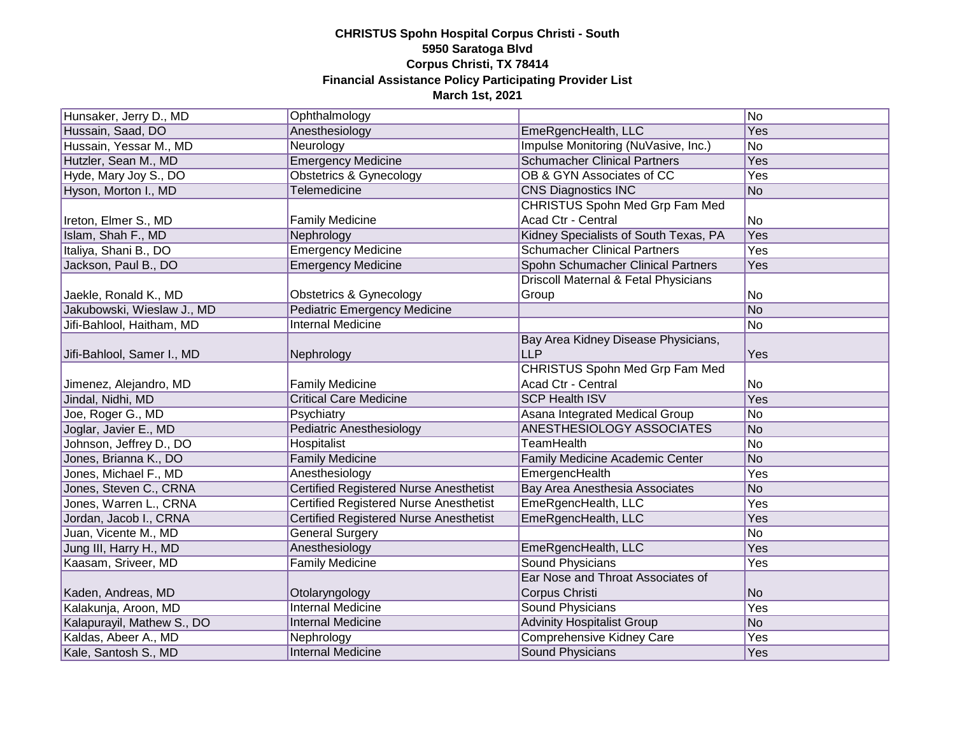| Hunsaker, Jerry D., MD     | Ophthalmology                                 |                                       | No             |
|----------------------------|-----------------------------------------------|---------------------------------------|----------------|
| Hussain, Saad, DO          | Anesthesiology                                | EmeRgencHealth, LLC                   | Yes            |
| Hussain, Yessar M., MD     | Neurology                                     | Impulse Monitoring (NuVasive, Inc.)   | No             |
| Hutzler, Sean M., MD       | <b>Emergency Medicine</b>                     | <b>Schumacher Clinical Partners</b>   | Yes            |
| Hyde, Mary Joy S., DO      | <b>Obstetrics &amp; Gynecology</b>            | OB & GYN Associates of CC             | Yes            |
| Hyson, Morton I., MD       | Telemedicine                                  | <b>CNS Diagnostics INC</b>            | No             |
|                            |                                               | CHRISTUS Spohn Med Grp Fam Med        |                |
| Ireton, Elmer S., MD       | <b>Family Medicine</b>                        | Acad Ctr - Central                    | No             |
| Islam, Shah F., MD         | Nephrology                                    | Kidney Specialists of South Texas, PA | <b>Yes</b>     |
| Italiya, Shani B., DO      | <b>Emergency Medicine</b>                     | <b>Schumacher Clinical Partners</b>   | <b>Yes</b>     |
| Jackson, Paul B., DO       | <b>Emergency Medicine</b>                     | Spohn Schumacher Clinical Partners    | Yes            |
|                            |                                               | Driscoll Maternal & Fetal Physicians  |                |
| Jaekle, Ronald K., MD      | <b>Obstetrics &amp; Gynecology</b>            | Group                                 | No             |
| Jakubowski, Wieslaw J., MD | Pediatric Emergency Medicine                  |                                       | No             |
| Jifi-Bahlool, Haitham, MD  | <b>Internal Medicine</b>                      |                                       | No             |
|                            |                                               | Bay Area Kidney Disease Physicians,   |                |
| Jifi-Bahlool, Samer I., MD | Nephrology                                    | <b>LLP</b>                            | Yes            |
|                            |                                               | CHRISTUS Spohn Med Grp Fam Med        |                |
| Jimenez, Alejandro, MD     | <b>Family Medicine</b>                        | Acad Ctr - Central                    | No             |
| Jindal, Nidhi, MD          | <b>Critical Care Medicine</b>                 | <b>SCP Health ISV</b>                 | Yes            |
| Joe, Roger G., MD          | Psychiatry                                    | Asana Integrated Medical Group        | No             |
| Joglar, Javier E., MD      | <b>Pediatric Anesthesiology</b>               | ANESTHESIOLOGY ASSOCIATES             | No             |
| Johnson, Jeffrey D., DO    | Hospitalist                                   | <b>TeamHealth</b>                     | No             |
| Jones, Brianna K., DO      | <b>Family Medicine</b>                        | Family Medicine Academic Center       | No             |
| Jones, Michael F., MD      | Anesthesiology                                | EmergencHealth                        | Yes            |
| Jones, Steven C., CRNA     | <b>Certified Registered Nurse Anesthetist</b> | Bay Area Anesthesia Associates        | N <sub>o</sub> |
| Jones, Warren L., CRNA     | <b>Certified Registered Nurse Anesthetist</b> | EmeRgencHealth, LLC                   | Yes            |
| Jordan, Jacob I., CRNA     | <b>Certified Registered Nurse Anesthetist</b> | EmeRgencHealth, LLC                   | Yes            |
| Juan, Vicente M., MD       | <b>General Surgery</b>                        |                                       | No             |
| Jung III, Harry H., MD     | Anesthesiology                                | EmeRgencHealth, LLC                   | Yes            |
| Kaasam, Sriveer, MD        | <b>Family Medicine</b>                        | <b>Sound Physicians</b>               | Yes            |
|                            |                                               | Ear Nose and Throat Associates of     |                |
| Kaden, Andreas, MD         | Otolaryngology                                | Corpus Christi                        | N <sub>o</sub> |
| Kalakunja, Aroon, MD       | <b>Internal Medicine</b>                      | <b>Sound Physicians</b>               | Yes            |
| Kalapurayil, Mathew S., DO | <b>Internal Medicine</b>                      | <b>Advinity Hospitalist Group</b>     | No             |
| Kaldas, Abeer A., MD       | Nephrology                                    | <b>Comprehensive Kidney Care</b>      | Yes            |
| Kale, Santosh S., MD       | <b>Internal Medicine</b>                      | <b>Sound Physicians</b>               | Yes            |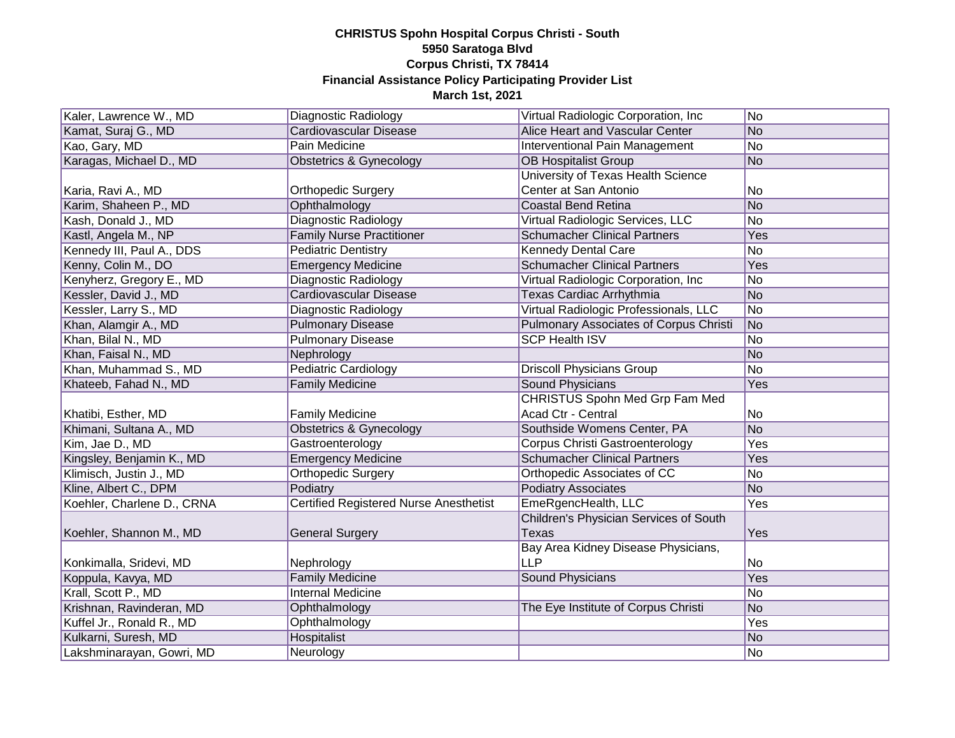| Kaler, Lawrence W., MD     | Diagnostic Radiology                          | Virtual Radiologic Corporation, Inc.          | No  |
|----------------------------|-----------------------------------------------|-----------------------------------------------|-----|
| Kamat, Suraj G., MD        | Cardiovascular Disease                        | Alice Heart and Vascular Center               | No  |
| Kao, Gary, MD              | <b>Pain Medicine</b>                          | <b>Interventional Pain Management</b>         | No  |
| Karagas, Michael D., MD    | Obstetrics & Gynecology                       | <b>OB Hospitalist Group</b>                   | No  |
|                            |                                               | University of Texas Health Science            |     |
| Karia, Ravi A., MD         | <b>Orthopedic Surgery</b>                     | Center at San Antonio                         | No  |
| Karim, Shaheen P., MD      | Ophthalmology                                 | <b>Coastal Bend Retina</b>                    | No  |
| Kash, Donald J., MD        | <b>Diagnostic Radiology</b>                   | Virtual Radiologic Services, LLC              | No  |
| Kastl, Angela M., NP       | <b>Family Nurse Practitioner</b>              | <b>Schumacher Clinical Partners</b>           | Yes |
| Kennedy III, Paul A., DDS  | Pediatric Dentistry                           | <b>Kennedy Dental Care</b>                    | No  |
| Kenny, Colin M., DO        | <b>Emergency Medicine</b>                     | <b>Schumacher Clinical Partners</b>           | Yes |
| Kenyherz, Gregory E., MD   | Diagnostic Radiology                          | Virtual Radiologic Corporation, Inc           | No  |
| Kessler, David J., MD      | Cardiovascular Disease                        | Texas Cardiac Arrhythmia                      | No  |
| Kessler, Larry S., MD      | Diagnostic Radiology                          | Virtual Radiologic Professionals, LLC         | No  |
| Khan, Alamgir A., MD       | <b>Pulmonary Disease</b>                      | <b>Pulmonary Associates of Corpus Christi</b> | No  |
| Khan, Bilal N., MD         | <b>Pulmonary Disease</b>                      | <b>SCP Health ISV</b>                         | No  |
| Khan, Faisal N., MD        | Nephrology                                    |                                               | No  |
| Khan, Muhammad S., MD      | <b>Pediatric Cardiology</b>                   | <b>Driscoll Physicians Group</b>              | No  |
| Khateeb, Fahad N., MD      | <b>Family Medicine</b>                        | <b>Sound Physicians</b>                       | Yes |
|                            |                                               | <b>CHRISTUS Spohn Med Grp Fam Med</b>         |     |
| Khatibi, Esther, MD        | <b>Family Medicine</b>                        | Acad Ctr - Central                            | No  |
| Khimani, Sultana A., MD    | Obstetrics & Gynecology                       | Southside Womens Center, PA                   | No  |
| Kim, Jae D., MD            | Gastroenterology                              | <b>Corpus Christi Gastroenterology</b>        | Yes |
| Kingsley, Benjamin K., MD  | <b>Emergency Medicine</b>                     | <b>Schumacher Clinical Partners</b>           | Yes |
| Klimisch, Justin J., MD    | <b>Orthopedic Surgery</b>                     | Orthopedic Associates of CC                   | No  |
| Kline, Albert C., DPM      | Podiatry                                      | <b>Podiatry Associates</b>                    | No  |
| Koehler, Charlene D., CRNA | <b>Certified Registered Nurse Anesthetist</b> | EmeRgencHealth, LLC                           | Yes |
|                            |                                               | Children's Physician Services of South        |     |
| Koehler, Shannon M., MD    | <b>General Surgery</b>                        | Texas                                         | Yes |
|                            |                                               | Bay Area Kidney Disease Physicians,           |     |
| Konkimalla, Sridevi, MD    | Nephrology                                    | <b>LLP</b>                                    | No  |
| Koppula, Kavya, MD         | <b>Family Medicine</b>                        | <b>Sound Physicians</b>                       | Yes |
| Krall, Scott P., MD        | <b>Internal Medicine</b>                      |                                               | No  |
| Krishnan, Ravinderan, MD   | Ophthalmology                                 | The Eye Institute of Corpus Christi           | No  |
| Kuffel Jr., Ronald R., MD  | Ophthalmology                                 |                                               | Yes |
| Kulkarni, Suresh, MD       | Hospitalist                                   |                                               | No  |
| Lakshminarayan, Gowri, MD  | Neurology                                     |                                               | No  |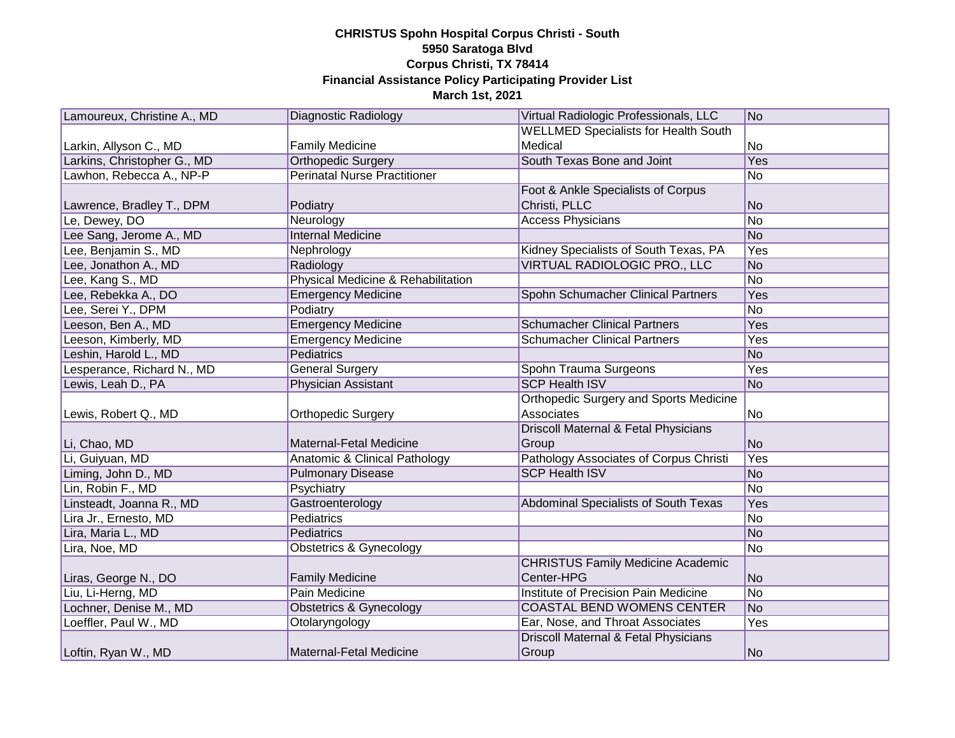| Lamoureux, Christine A., MD | Diagnostic Radiology                | Virtual Radiologic Professionals, LLC         | No  |
|-----------------------------|-------------------------------------|-----------------------------------------------|-----|
|                             |                                     | <b>WELLMED Specialists for Health South</b>   |     |
| Larkin, Allyson C., MD      | <b>Family Medicine</b>              | Medical                                       | No  |
| Larkins, Christopher G., MD | <b>Orthopedic Surgery</b>           | South Texas Bone and Joint                    | Yes |
| Lawhon, Rebecca A., NP-P    | <b>Perinatal Nurse Practitioner</b> |                                               | No  |
|                             |                                     | Foot & Ankle Specialists of Corpus            |     |
| Lawrence, Bradley T., DPM   | Podiatry                            | Christi, PLLC                                 | No  |
| Le, Dewey, DO               | Neurology                           | <b>Access Physicians</b>                      | No  |
| Lee Sang, Jerome A., MD     | <b>Internal Medicine</b>            |                                               | No  |
| Lee, Benjamin S., MD        | Nephrology                          | Kidney Specialists of South Texas, PA         | Yes |
| Lee, Jonathon A., MD        | Radiology                           | VIRTUAL RADIOLOGIC PRO., LLC                  | No  |
| Lee, Kang S., MD            | Physical Medicine & Rehabilitation  |                                               | No  |
| Lee, Rebekka A., DO         | <b>Emergency Medicine</b>           | Spohn Schumacher Clinical Partners            | Yes |
| Lee, Serei Y., DPM          | Podiatry                            |                                               | No  |
| Leeson, Ben A., MD          | <b>Emergency Medicine</b>           | <b>Schumacher Clinical Partners</b>           | Yes |
| Leeson, Kimberly, MD        | <b>Emergency Medicine</b>           | <b>Schumacher Clinical Partners</b>           | Yes |
| Leshin, Harold L., MD       | <b>Pediatrics</b>                   |                                               | No  |
| Lesperance, Richard N., MD  | <b>General Surgery</b>              | Spohn Trauma Surgeons                         | Yes |
| Lewis, Leah D., PA          | Physician Assistant                 | <b>SCP Health ISV</b>                         | No  |
|                             |                                     | <b>Orthopedic Surgery and Sports Medicine</b> |     |
| Lewis, Robert Q., MD        | Orthopedic Surgery                  | Associates                                    | No  |
|                             |                                     | Driscoll Maternal & Fetal Physicians          |     |
| Li, Chao, MD                | Maternal-Fetal Medicine             | Group                                         | No  |
| Li, Guiyuan, MD             | Anatomic & Clinical Pathology       | Pathology Associates of Corpus Christi        | Yes |
| Liming, John D., MD         | <b>Pulmonary Disease</b>            | <b>SCP Health ISV</b>                         | No  |
| Lin, Robin F., MD           | Psychiatry                          |                                               | No  |
| Linsteadt, Joanna R., MD    | Gastroenterology                    | Abdominal Specialists of South Texas          | Yes |
| Lira Jr., Ernesto, MD       | <b>Pediatrics</b>                   |                                               | No  |
| Lira, Maria L., MD          | Pediatrics                          |                                               | No  |
| Lira, Noe, MD               | Obstetrics & Gynecology             |                                               | No  |
|                             |                                     | <b>CHRISTUS Family Medicine Academic</b>      |     |
| Liras, George N., DO        | <b>Family Medicine</b>              | Center-HPG                                    | No  |
| Liu, Li-Herng, MD           | Pain Medicine                       | Institute of Precision Pain Medicine          | No  |
| Lochner, Denise M., MD      | <b>Obstetrics &amp; Gynecology</b>  | COASTAL BEND WOMENS CENTER                    | No  |
| Loeffler, Paul W., MD       | Otolaryngology                      | Ear, Nose, and Throat Associates              | Yes |
|                             |                                     | Driscoll Maternal & Fetal Physicians          |     |
| Loftin, Ryan W., MD         | <b>Maternal-Fetal Medicine</b>      | Group                                         | No  |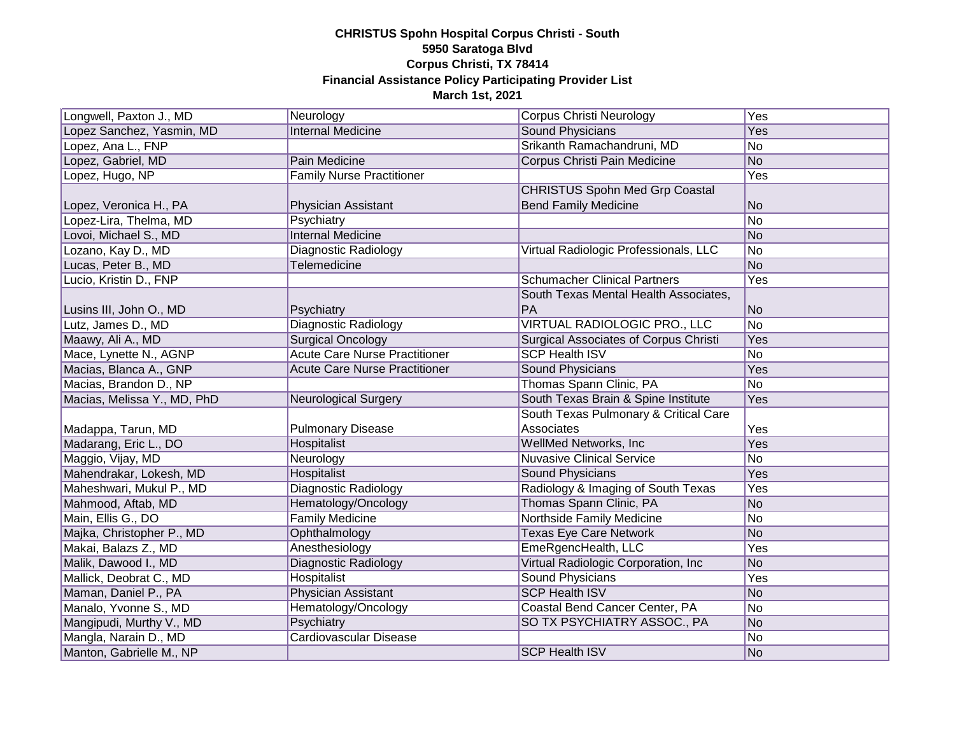| Longwell, Paxton J., MD     | Neurology                            | Corpus Christi Neurology                     | Yes |
|-----------------------------|--------------------------------------|----------------------------------------------|-----|
| Lopez Sanchez, Yasmin, MD   | <b>Internal Medicine</b>             | <b>Sound Physicians</b>                      | Yes |
| Lopez, Ana L., FNP          |                                      | Srikanth Ramachandruni, MD                   | No  |
| Lopez, Gabriel, MD          | Pain Medicine                        | Corpus Christi Pain Medicine                 | No  |
| Lopez, Hugo, NP             | <b>Family Nurse Practitioner</b>     |                                              | Yes |
|                             |                                      | <b>CHRISTUS Spohn Med Grp Coastal</b>        |     |
| Lopez, Veronica H., PA      | Physician Assistant                  | <b>Bend Family Medicine</b>                  | No  |
| Lopez-Lira, Thelma, MD      | Psychiatry                           |                                              | No  |
| Lovoi, Michael S., MD       | <b>Internal Medicine</b>             |                                              | No  |
| Lozano, Kay D., MD          | Diagnostic Radiology                 | Virtual Radiologic Professionals, LLC        | No  |
| Lucas, Peter B., MD         | <b>Telemedicine</b>                  |                                              | No  |
| Lucio, Kristin D., FNP      |                                      | <b>Schumacher Clinical Partners</b>          | Yes |
|                             |                                      | South Texas Mental Health Associates,        |     |
| Lusins III, John O., MD     | Psychiatry                           | PA                                           | No  |
| Lutz, James D., MD          | <b>Diagnostic Radiology</b>          | VIRTUAL RADIOLOGIC PRO., LLC                 | No  |
| Maawy, Ali A., MD           | <b>Surgical Oncology</b>             | <b>Surgical Associates of Corpus Christi</b> | Yes |
| Mace, Lynette N., AGNP      | <b>Acute Care Nurse Practitioner</b> | <b>SCP Health ISV</b>                        | No  |
| Macias, Blanca A., GNP      | <b>Acute Care Nurse Practitioner</b> | Sound Physicians                             | Yes |
| Macias, Brandon D., NP      |                                      | Thomas Spann Clinic, PA                      | No  |
| Macias, Melissa Y., MD, PhD | <b>Neurological Surgery</b>          | South Texas Brain & Spine Institute          | Yes |
|                             |                                      | South Texas Pulmonary & Critical Care        |     |
| Madappa, Tarun, MD          | <b>Pulmonary Disease</b>             | Associates                                   | Yes |
| Madarang, Eric L., DO       | Hospitalist                          | WellMed Networks, Inc.                       | Yes |
| Maggio, Vijay, MD           | Neurology                            | <b>Nuvasive Clinical Service</b>             | No  |
| Mahendrakar, Lokesh, MD     | Hospitalist                          | Sound Physicians                             | Yes |
| Maheshwari, Mukul P., MD    | Diagnostic Radiology                 | Radiology & Imaging of South Texas           | Yes |
| Mahmood, Aftab, MD          | Hematology/Oncology                  | Thomas Spann Clinic, PA                      | No  |
| Main, Ellis G., DO          | <b>Family Medicine</b>               | Northside Family Medicine                    | No  |
| Majka, Christopher P., MD   | Ophthalmology                        | <b>Texas Eye Care Network</b>                | No  |
| Makai, Balazs Z., MD        | Anesthesiology                       | EmeRgencHealth, LLC                          | Yes |
| Malik, Dawood I., MD        | Diagnostic Radiology                 | Virtual Radiologic Corporation, Inc.         | No  |
| Mallick, Deobrat C., MD     | Hospitalist                          | <b>Sound Physicians</b>                      | Yes |
| Maman, Daniel P., PA        | Physician Assistant                  | <b>SCP Health ISV</b>                        | No  |
| Manalo, Yvonne S., MD       | Hematology/Oncology                  | Coastal Bend Cancer Center, PA               | No  |
| Mangipudi, Murthy V., MD    | Psychiatry                           | SO TX PSYCHIATRY ASSOC., PA                  | No  |
| Mangla, Narain D., MD       | <b>Cardiovascular Disease</b>        |                                              | No  |
| Manton, Gabrielle M., NP    |                                      | <b>SCP Health ISV</b>                        | No  |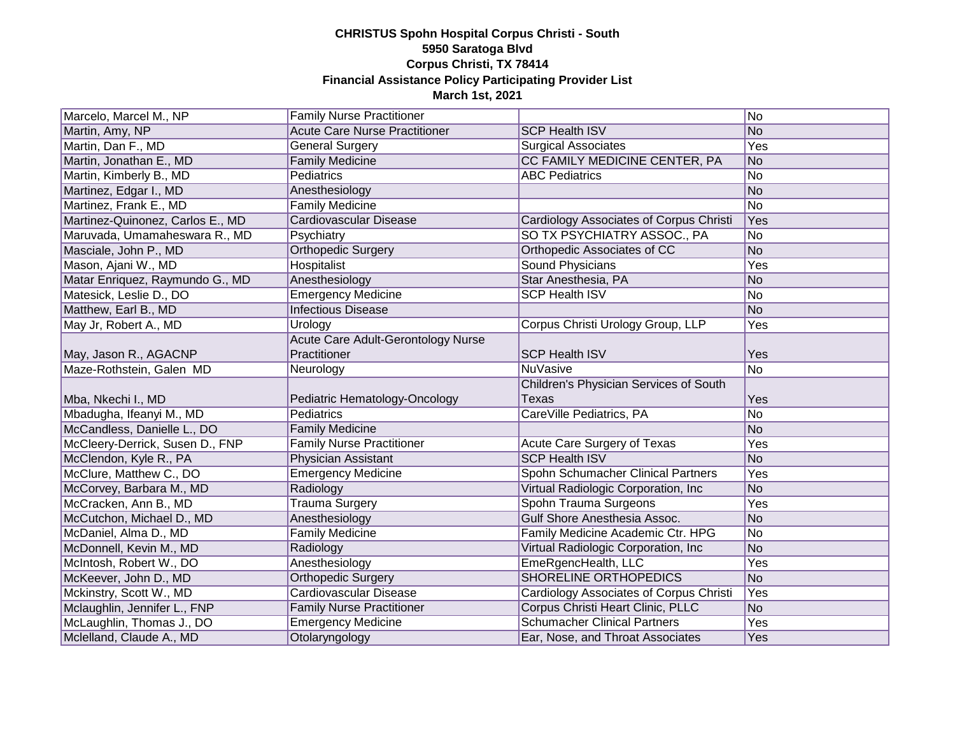| Marcelo, Marcel M., NP           | <b>Family Nurse Practitioner</b>     |                                                | No             |
|----------------------------------|--------------------------------------|------------------------------------------------|----------------|
| Martin, Amy, NP                  | <b>Acute Care Nurse Practitioner</b> | <b>SCP Health ISV</b>                          | No             |
| Martin, Dan F., MD               | <b>General Surgery</b>               | <b>Surgical Associates</b>                     | Yes            |
| Martin, Jonathan E., MD          | <b>Family Medicine</b>               | CC FAMILY MEDICINE CENTER, PA                  | No             |
| Martin, Kimberly B., MD          | Pediatrics                           | <b>ABC Pediatrics</b>                          | No             |
| Martinez, Edgar I., MD           | Anesthesiology                       |                                                | No             |
| Martinez, Frank E., MD           | <b>Family Medicine</b>               |                                                | No             |
| Martinez-Quinonez, Carlos E., MD | <b>Cardiovascular Disease</b>        | <b>Cardiology Associates of Corpus Christi</b> | Yes            |
| Maruvada, Umamaheswara R., MD    | Psychiatry                           | SO TX PSYCHIATRY ASSOC., PA                    | No             |
| Masciale, John P., MD            | <b>Orthopedic Surgery</b>            | Orthopedic Associates of CC                    | No             |
| Mason, Ajani W., MD              | Hospitalist                          | Sound Physicians                               | Yes            |
| Matar Enriquez, Raymundo G., MD  | Anesthesiology                       | Star Anesthesia, PA                            | No             |
| Matesick, Leslie D., DO          | <b>Emergency Medicine</b>            | <b>SCP Health ISV</b>                          | No             |
| Matthew, Earl B., MD             | <b>Infectious Disease</b>            |                                                | No             |
| May Jr, Robert A., MD            | Urology                              | Corpus Christi Urology Group, LLP              | Yes            |
|                                  | Acute Care Adult-Gerontology Nurse   |                                                |                |
| May, Jason R., AGACNP            | Practitioner                         | <b>SCP Health ISV</b>                          | Yes            |
| Maze-Rothstein, Galen MD         | Neurology                            | <b>NuVasive</b>                                | <b>No</b>      |
|                                  |                                      |                                                |                |
|                                  |                                      | Children's Physician Services of South         |                |
| Mba, Nkechi I., MD               | Pediatric Hematology-Oncology        | <b>Texas</b>                                   | Yes            |
| Mbadugha, Ifeanyi M., MD         | Pediatrics                           | CareVille Pediatrics, PA                       | No             |
| McCandless, Danielle L., DO      | <b>Family Medicine</b>               |                                                | No             |
| McCleery-Derrick, Susen D., FNP  | <b>Family Nurse Practitioner</b>     | Acute Care Surgery of Texas                    | Yes            |
| McClendon, Kyle R., PA           | Physician Assistant                  | <b>SCP Health ISV</b>                          | No             |
| McClure, Matthew C., DO          | <b>Emergency Medicine</b>            | Spohn Schumacher Clinical Partners             | Yes            |
| McCorvey, Barbara M., MD         | Radiology                            | Virtual Radiologic Corporation, Inc            | No             |
| McCracken, Ann B., MD            | <b>Trauma Surgery</b>                | Spohn Trauma Surgeons                          | Yes            |
| McCutchon, Michael D., MD        | Anesthesiology                       | Gulf Shore Anesthesia Assoc.                   | No             |
| McDaniel, Alma D., MD            | <b>Family Medicine</b>               | Family Medicine Academic Ctr. HPG              | No             |
| McDonnell, Kevin M., MD          | Radiology                            | Virtual Radiologic Corporation, Inc.           | No             |
| McIntosh, Robert W., DO          | Anesthesiology                       | EmeRgencHealth, LLC                            | Yes            |
| McKeever, John D., MD            | <b>Orthopedic Surgery</b>            | <b>SHORELINE ORTHOPEDICS</b>                   | N <sub>o</sub> |
| Mckinstry, Scott W., MD          | Cardiovascular Disease               | Cardiology Associates of Corpus Christi        | Yes            |
| Mclaughlin, Jennifer L., FNP     | <b>Family Nurse Practitioner</b>     | Corpus Christi Heart Clinic, PLLC              | No             |
| McLaughlin, Thomas J., DO        | <b>Emergency Medicine</b>            | <b>Schumacher Clinical Partners</b>            | Yes            |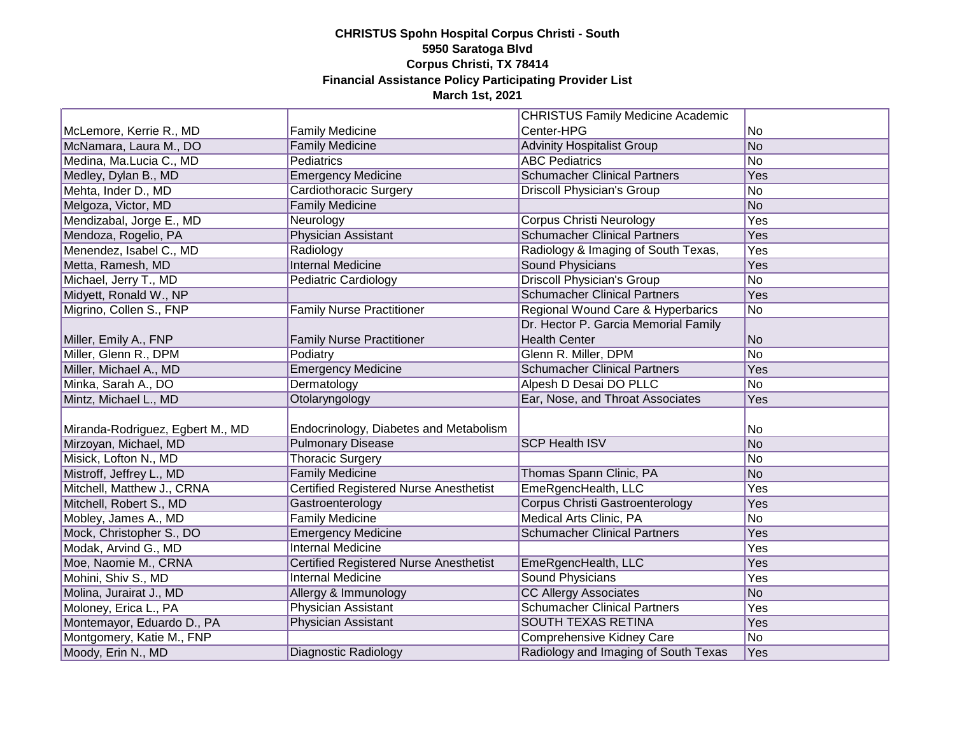|                                  |                                        | <b>CHRISTUS Family Medicine Academic</b> |     |
|----------------------------------|----------------------------------------|------------------------------------------|-----|
| McLemore, Kerrie R., MD          | <b>Family Medicine</b>                 | Center-HPG                               | No  |
| McNamara, Laura M., DO           | <b>Family Medicine</b>                 | <b>Advinity Hospitalist Group</b>        | No  |
| Medina, Ma.Lucia C., MD          | Pediatrics                             | <b>ABC Pediatrics</b>                    | No  |
| Medley, Dylan B., MD             | <b>Emergency Medicine</b>              | <b>Schumacher Clinical Partners</b>      | Yes |
| Mehta, Inder D., MD              | Cardiothoracic Surgery                 | <b>Driscoll Physician's Group</b>        | No  |
| Melgoza, Victor, MD              | <b>Family Medicine</b>                 |                                          | No  |
| Mendizabal, Jorge E., MD         | Neurology                              | <b>Corpus Christi Neurology</b>          | Yes |
| Mendoza, Rogelio, PA             | Physician Assistant                    | <b>Schumacher Clinical Partners</b>      | Yes |
| Menendez, Isabel C., MD          | Radiology                              | Radiology & Imaging of South Texas,      | Yes |
| Metta, Ramesh, MD                | <b>Internal Medicine</b>               | <b>Sound Physicians</b>                  | Yes |
| Michael, Jerry T., MD            | Pediatric Cardiology                   | <b>Driscoll Physician's Group</b>        | No  |
| Midyett, Ronald W., NP           |                                        | <b>Schumacher Clinical Partners</b>      | Yes |
| Migrino, Collen S., FNP          | <b>Family Nurse Practitioner</b>       | Regional Wound Care & Hyperbarics        | No  |
|                                  |                                        | Dr. Hector P. Garcia Memorial Family     |     |
| Miller, Emily A., FNP            | <b>Family Nurse Practitioner</b>       | <b>Health Center</b>                     | No  |
| Miller, Glenn R., DPM            | Podiatry                               | Glenn R. Miller, DPM                     | No  |
| Miller, Michael A., MD           | <b>Emergency Medicine</b>              | <b>Schumacher Clinical Partners</b>      | Yes |
| Minka, Sarah A., DO              | Dermatology                            | Alpesh D Desai DO PLLC                   | No  |
| Mintz, Michael L., MD            | Otolaryngology                         | Ear, Nose, and Throat Associates         | Yes |
|                                  |                                        |                                          |     |
| Miranda-Rodriguez, Egbert M., MD | Endocrinology, Diabetes and Metabolism |                                          | No  |
| Mirzoyan, Michael, MD            | <b>Pulmonary Disease</b>               | <b>SCP Health ISV</b>                    | No  |
| Misick, Lofton N., MD            | <b>Thoracic Surgery</b>                |                                          | No  |
| Mistroff, Jeffrey L., MD         | <b>Family Medicine</b>                 | Thomas Spann Clinic, PA                  | No  |
| Mitchell, Matthew J., CRNA       | Certified Registered Nurse Anesthetist | EmeRgencHealth, LLC                      | Yes |
| Mitchell, Robert S., MD          | Gastroenterology                       | Corpus Christi Gastroenterology          | Yes |
| Mobley, James A., MD             | <b>Family Medicine</b>                 | Medical Arts Clinic, PA                  | No  |
| Mock, Christopher S., DO         | <b>Emergency Medicine</b>              | <b>Schumacher Clinical Partners</b>      | Yes |
| Modak, Arvind G., MD             | <b>Internal Medicine</b>               |                                          | Yes |
| Moe, Naomie M., CRNA             | Certified Registered Nurse Anesthetist | EmeRgencHealth, LLC                      | Yes |
| Mohini, Shiv S., MD              | <b>Internal Medicine</b>               | Sound Physicians                         | Yes |
| Molina, Jurairat J., MD          | Allergy & Immunology                   | <b>CC Allergy Associates</b>             | No  |
| Moloney, Erica L., PA            | <b>Physician Assistant</b>             | <b>Schumacher Clinical Partners</b>      | Yes |
| Montemayor, Eduardo D., PA       | Physician Assistant                    | <b>SOUTH TEXAS RETINA</b>                | Yes |
| Montgomery, Katie M., FNP        |                                        | Comprehensive Kidney Care                | No  |
| Moody, Erin N., MD               | Diagnostic Radiology                   | Radiology and Imaging of South Texas     | Yes |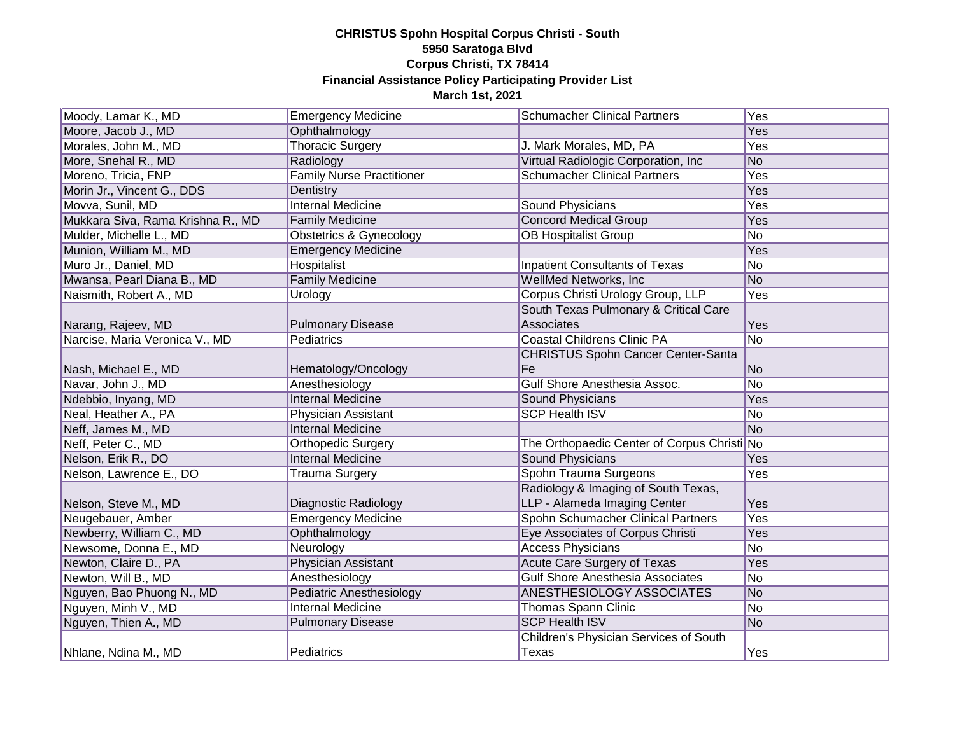| Moody, Lamar K., MD               | <b>Emergency Medicine</b>          | <b>Schumacher Clinical Partners</b>         | Yes       |
|-----------------------------------|------------------------------------|---------------------------------------------|-----------|
| Moore, Jacob J., MD               | Ophthalmology                      |                                             | Yes       |
| Morales, John M., MD              | <b>Thoracic Surgery</b>            | J. Mark Morales, MD, PA                     | Yes       |
| More, Snehal R., MD               | Radiology                          | Virtual Radiologic Corporation, Inc         | No        |
| Moreno, Tricia, FNP               | <b>Family Nurse Practitioner</b>   | <b>Schumacher Clinical Partners</b>         | Yes       |
| Morin Jr., Vincent G., DDS        | Dentistry                          |                                             | Yes       |
| Movva, Sunil, MD                  | <b>Internal Medicine</b>           | Sound Physicians                            | Yes       |
| Mukkara Siva, Rama Krishna R., MD | <b>Family Medicine</b>             | <b>Concord Medical Group</b>                | Yes       |
| Mulder, Michelle L., MD           | <b>Obstetrics &amp; Gynecology</b> | <b>OB Hospitalist Group</b>                 | No        |
| Munion, William M., MD            | <b>Emergency Medicine</b>          |                                             | Yes       |
| Muro Jr., Daniel, MD              | <b>Hospitalist</b>                 | <b>Inpatient Consultants of Texas</b>       | No        |
| Mwansa, Pearl Diana B., MD        | <b>Family Medicine</b>             | WellMed Networks, Inc                       | No        |
| Naismith, Robert A., MD           | Urology                            | Corpus Christi Urology Group, LLP           | Yes       |
|                                   |                                    | South Texas Pulmonary & Critical Care       |           |
| Narang, Rajeev, MD                | <b>Pulmonary Disease</b>           | Associates                                  | Yes       |
| Narcise, Maria Veronica V., MD    | Pediatrics                         | <b>Coastal Childrens Clinic PA</b>          | No        |
|                                   |                                    | <b>CHRISTUS Spohn Cancer Center-Santa</b>   |           |
| Nash, Michael E., MD              | Hematology/Oncology                | Fe                                          | No        |
| Navar, John J., MD                | Anesthesiology                     | <b>Gulf Shore Anesthesia Assoc.</b>         | No        |
| Ndebbio, Inyang, MD               | <b>Internal Medicine</b>           | Sound Physicians                            | Yes       |
| Neal, Heather A., PA              | Physician Assistant                | <b>SCP Health ISV</b>                       | No        |
| Neff, James M., MD                | <b>Internal Medicine</b>           |                                             | <b>No</b> |
| Neff, Peter C., MD                | <b>Orthopedic Surgery</b>          | The Orthopaedic Center of Corpus Christi No |           |
| Nelson, Erik R., DO               | <b>Internal Medicine</b>           | <b>Sound Physicians</b>                     | Yes       |
| Nelson, Lawrence E., DO           | <b>Trauma Surgery</b>              | Spohn Trauma Surgeons                       | Yes       |
|                                   |                                    | Radiology & Imaging of South Texas,         |           |
| Nelson, Steve M., MD              | Diagnostic Radiology               | LLP - Alameda Imaging Center                | Yes       |
| Neugebauer, Amber                 | <b>Emergency Medicine</b>          | Spohn Schumacher Clinical Partners          | Yes       |
| Newberry, William C., MD          | Ophthalmology                      | Eye Associates of Corpus Christi            | Yes       |
| Newsome, Donna E., MD             | Neurology                          | <b>Access Physicians</b>                    | No        |
| Newton, Claire D., PA             | <b>Physician Assistant</b>         | <b>Acute Care Surgery of Texas</b>          | Yes       |
| Newton, Will B., MD               | Anesthesiology                     | <b>Gulf Shore Anesthesia Associates</b>     | No        |
| Nguyen, Bao Phuong N., MD         | <b>Pediatric Anesthesiology</b>    | <b>ANESTHESIOLOGY ASSOCIATES</b>            | No        |
| Nguyen, Minh V., MD               | <b>Internal Medicine</b>           | <b>Thomas Spann Clinic</b>                  | No        |
| Nguyen, Thien A., MD              | <b>Pulmonary Disease</b>           | <b>SCP Health ISV</b>                       | No        |
|                                   |                                    | Children's Physician Services of South      |           |
| Nhlane, Ndina M., MD              | Pediatrics                         | Texas                                       | Yes       |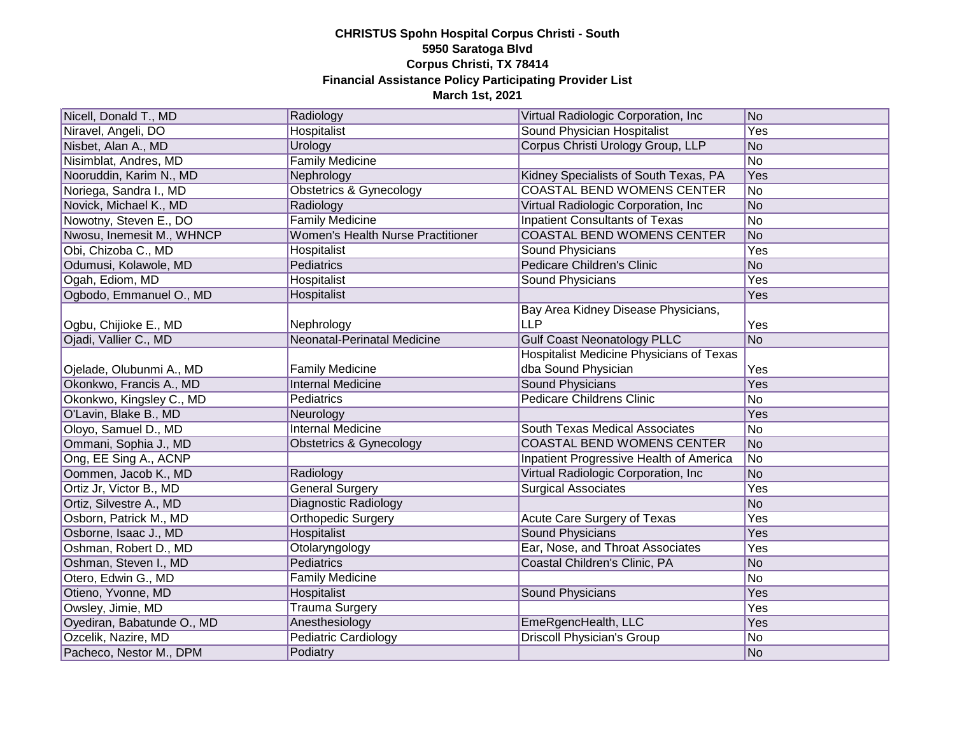| Nicell, Donald T., MD      | Radiology                                | Virtual Radiologic Corporation, Inc.            | No  |
|----------------------------|------------------------------------------|-------------------------------------------------|-----|
| Niravel, Angeli, DO        | <b>Hospitalist</b>                       | Sound Physician Hospitalist                     | Yes |
| Nisbet, Alan A., MD        | Urology                                  | Corpus Christi Urology Group, LLP               | No  |
| Nisimblat, Andres, MD      | <b>Family Medicine</b>                   |                                                 | No  |
| Nooruddin, Karim N., MD    | Nephrology                               | Kidney Specialists of South Texas, PA           | Yes |
| Noriega, Sandra I., MD     | <b>Obstetrics &amp; Gynecology</b>       | <b>COASTAL BEND WOMENS CENTER</b>               | No  |
| Novick, Michael K., MD     | Radiology                                | Virtual Radiologic Corporation, Inc.            | No  |
| Nowotny, Steven E., DO     | <b>Family Medicine</b>                   | <b>Inpatient Consultants of Texas</b>           | No  |
| Nwosu, Inemesit M., WHNCP  | <b>Women's Health Nurse Practitioner</b> | <b>COASTAL BEND WOMENS CENTER</b>               | No  |
| Obi, Chizoba C., MD        | Hospitalist                              | <b>Sound Physicians</b>                         | Yes |
| Odumusi, Kolawole, MD      | Pediatrics                               | <b>Pedicare Children's Clinic</b>               | No  |
| Ogah, Ediom, MD            | Hospitalist                              | Sound Physicians                                | Yes |
| Ogbodo, Emmanuel O., MD    | Hospitalist                              |                                                 | Yes |
|                            |                                          | Bay Area Kidney Disease Physicians,             |     |
| Ogbu, Chijioke E., MD      | Nephrology                               | <b>LLP</b>                                      | Yes |
| Ojadi, Vallier C., MD      | <b>Neonatal-Perinatal Medicine</b>       | <b>Gulf Coast Neonatology PLLC</b>              | No  |
|                            |                                          | <b>Hospitalist Medicine Physicians of Texas</b> |     |
| Ojelade, Olubunmi A., MD   | <b>Family Medicine</b>                   | dba Sound Physician                             | Yes |
| Okonkwo, Francis A., MD    | <b>Internal Medicine</b>                 | <b>Sound Physicians</b>                         | Yes |
| Okonkwo, Kingsley C., MD   | Pediatrics                               | <b>Pedicare Childrens Clinic</b>                | No  |
| O'Lavin, Blake B., MD      | Neurology                                |                                                 | Yes |
| Oloyo, Samuel D., MD       | <b>Internal Medicine</b>                 | South Texas Medical Associates                  | No  |
| Ommani, Sophia J., MD      | Obstetrics & Gynecology                  | <b>COASTAL BEND WOMENS CENTER</b>               | No  |
| Ong, EE Sing A., ACNP      |                                          | Inpatient Progressive Health of America         | No  |
| Oommen, Jacob K., MD       | Radiology                                | Virtual Radiologic Corporation, Inc.            | No  |
| Ortiz Jr, Victor B., MD    | <b>General Surgery</b>                   | <b>Surgical Associates</b>                      | Yes |
| Ortiz, Silvestre A., MD    | Diagnostic Radiology                     |                                                 | No  |
| Osborn, Patrick M., MD     | Orthopedic Surgery                       | Acute Care Surgery of Texas                     | Yes |
| Osborne, Isaac J., MD      | Hospitalist                              | <b>Sound Physicians</b>                         | Yes |
| Oshman, Robert D., MD      | Otolaryngology                           | Ear, Nose, and Throat Associates                | Yes |
| Oshman, Steven I., MD      | Pediatrics                               | Coastal Children's Clinic, PA                   | No  |
| Otero, Edwin G., MD        | <b>Family Medicine</b>                   |                                                 | No  |
| Otieno, Yvonne, MD         | Hospitalist                              | <b>Sound Physicians</b>                         | Yes |
| Owsley, Jimie, MD          | <b>Trauma Surgery</b>                    |                                                 | Yes |
| Oyediran, Babatunde O., MD | Anesthesiology                           | EmeRgencHealth, LLC                             | Yes |
| Ozcelik, Nazire, MD        | <b>Pediatric Cardiology</b>              | <b>Driscoll Physician's Group</b>               | No  |
| Pacheco, Nestor M., DPM    | Podiatry                                 |                                                 | No  |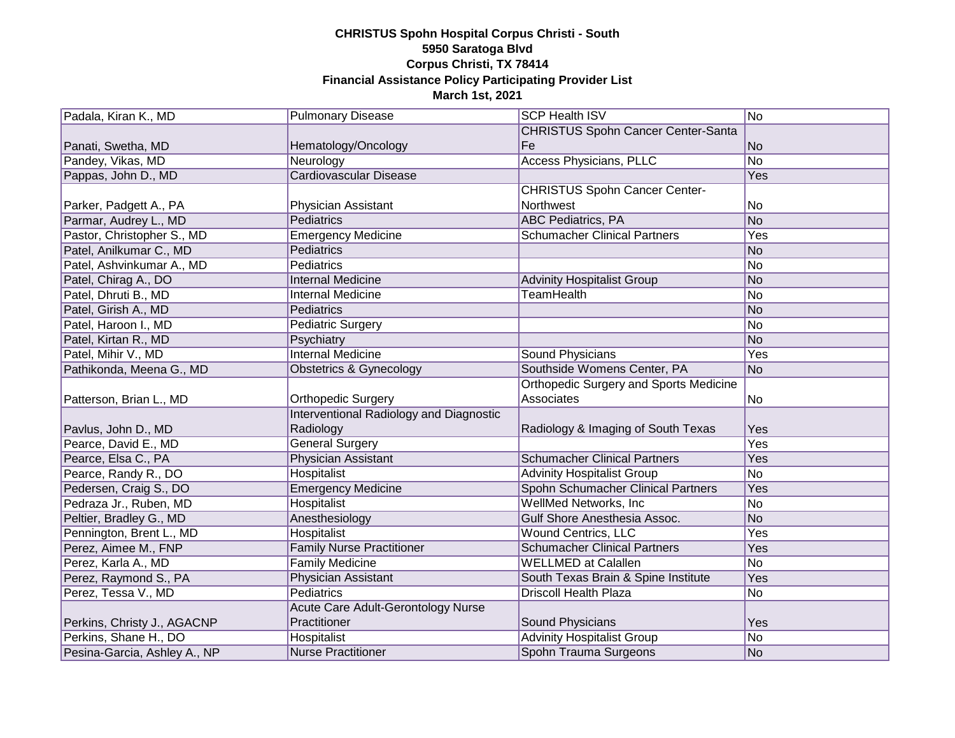| Padala, Kiran K., MD         | <b>Pulmonary Disease</b>                  | <b>SCP Health ISV</b>                         | No         |
|------------------------------|-------------------------------------------|-----------------------------------------------|------------|
|                              |                                           | <b>CHRISTUS Spohn Cancer Center-Santa</b>     |            |
| Panati, Swetha, MD           | Hematology/Oncology                       | Fe                                            | No         |
| Pandey, Vikas, MD            | Neurology                                 | <b>Access Physicians, PLLC</b>                | No         |
| Pappas, John D., MD          | <b>Cardiovascular Disease</b>             |                                               | <b>Yes</b> |
|                              |                                           | <b>CHRISTUS Spohn Cancer Center-</b>          |            |
| Parker, Padgett A., PA       | Physician Assistant                       | Northwest                                     | No         |
| Parmar, Audrey L., MD        | Pediatrics                                | <b>ABC</b> Pediatrics, PA                     | No         |
| Pastor, Christopher S., MD   | <b>Emergency Medicine</b>                 | <b>Schumacher Clinical Partners</b>           | Yes        |
| Patel, Anilkumar C., MD      | Pediatrics                                |                                               | No         |
| Patel, Ashvinkumar A., MD    | Pediatrics                                |                                               | No         |
| Patel, Chirag A., DO         | <b>Internal Medicine</b>                  | <b>Advinity Hospitalist Group</b>             | No         |
| Patel, Dhruti B., MD         | <b>Internal Medicine</b>                  | <b>TeamHealth</b>                             | No         |
| Patel, Girish A., MD         | Pediatrics                                |                                               | No         |
| Patel, Haroon I., MD         | <b>Pediatric Surgery</b>                  |                                               | No         |
| Patel, Kirtan R., MD         | Psychiatry                                |                                               | No         |
| Patel, Mihir V., MD          | <b>Internal Medicine</b>                  | Sound Physicians                              | Yes        |
| Pathikonda, Meena G., MD     | Obstetrics & Gynecology                   | Southside Womens Center, PA                   | No         |
|                              |                                           | <b>Orthopedic Surgery and Sports Medicine</b> |            |
| Patterson, Brian L., MD      | <b>Orthopedic Surgery</b>                 | Associates                                    | No         |
|                              | Interventional Radiology and Diagnostic   |                                               |            |
| Pavlus, John D., MD          | Radiology                                 | Radiology & Imaging of South Texas            | Yes        |
| Pearce, David E., MD         | <b>General Surgery</b>                    |                                               | Yes        |
| Pearce, Elsa C., PA          | Physician Assistant                       | <b>Schumacher Clinical Partners</b>           | Yes        |
| Pearce, Randy R., DO         | <b>Hospitalist</b>                        | <b>Advinity Hospitalist Group</b>             | No         |
| Pedersen, Craig S., DO       | <b>Emergency Medicine</b>                 | Spohn Schumacher Clinical Partners            | Yes        |
| Pedraza Jr., Ruben, MD       | Hospitalist                               | <b>WellMed Networks, Inc.</b>                 | No         |
| Peltier, Bradley G., MD      | Anesthesiology                            | Gulf Shore Anesthesia Assoc.                  | No         |
| Pennington, Brent L., MD     | <b>Hospitalist</b>                        | <b>Wound Centrics, LLC</b>                    | Yes        |
| Perez, Aimee M., FNP         | <b>Family Nurse Practitioner</b>          | <b>Schumacher Clinical Partners</b>           | Yes        |
| Perez, Karla A., MD          | <b>Family Medicine</b>                    | <b>WELLMED</b> at Calallen                    | No         |
| Perez, Raymond S., PA        | <b>Physician Assistant</b>                | South Texas Brain & Spine Institute           | Yes        |
| Perez, Tessa V., MD          | <b>Pediatrics</b>                         | <b>Driscoll Health Plaza</b>                  | No         |
|                              | <b>Acute Care Adult-Gerontology Nurse</b> |                                               |            |
| Perkins, Christy J., AGACNP  | Practitioner                              | Sound Physicians                              | Yes        |
| Perkins, Shane H., DO        | Hospitalist                               | <b>Advinity Hospitalist Group</b>             | No         |
| Pesina-Garcia, Ashley A., NP | <b>Nurse Practitioner</b>                 | Spohn Trauma Surgeons                         | No         |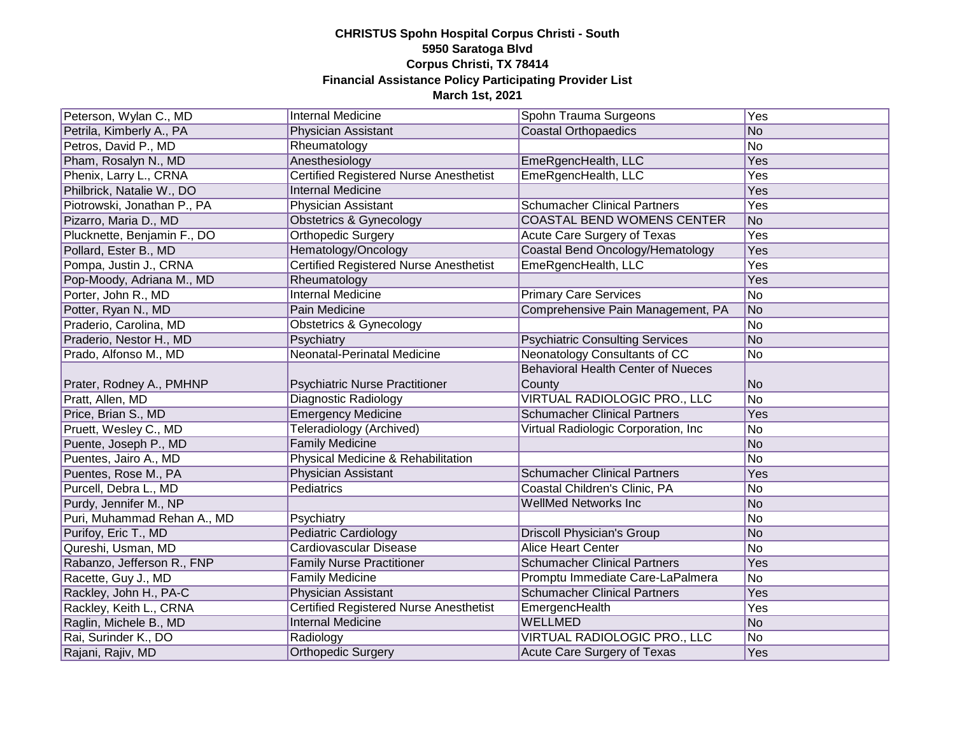| Peterson, Wylan C., MD      | <b>Internal Medicine</b>                      | Spohn Trauma Surgeons                     | Yes            |
|-----------------------------|-----------------------------------------------|-------------------------------------------|----------------|
| Petrila, Kimberly A., PA    | Physician Assistant                           | <b>Coastal Orthopaedics</b>               | No             |
| Petros, David P., MD        | Rheumatology                                  |                                           | No             |
| Pham, Rosalyn N., MD        | Anesthesiology                                | EmeRgencHealth, LLC                       | Yes            |
| Phenix, Larry L., CRNA      | <b>Certified Registered Nurse Anesthetist</b> | EmeRgencHealth, LLC                       | Yes            |
| Philbrick, Natalie W., DO   | <b>Internal Medicine</b>                      |                                           | Yes            |
| Piotrowski, Jonathan P., PA | Physician Assistant                           | <b>Schumacher Clinical Partners</b>       | <b>Yes</b>     |
| Pizarro, Maria D., MD       | <b>Obstetrics &amp; Gynecology</b>            | <b>COASTAL BEND WOMENS CENTER</b>         | No             |
| Plucknette, Benjamin F., DO | <b>Orthopedic Surgery</b>                     | Acute Care Surgery of Texas               | <b>Yes</b>     |
| Pollard, Ester B., MD       | Hematology/Oncology                           | Coastal Bend Oncology/Hematology          | <b>Yes</b>     |
| Pompa, Justin J., CRNA      | <b>Certified Registered Nurse Anesthetist</b> | EmeRgencHealth, LLC                       | Yes            |
| Pop-Moody, Adriana M., MD   | Rheumatology                                  |                                           | Yes            |
| Porter, John R., MD         | <b>Internal Medicine</b>                      | <b>Primary Care Services</b>              | No             |
| Potter, Ryan N., MD         | Pain Medicine                                 | Comprehensive Pain Management, PA         | No             |
| Praderio, Carolina, MD      | Obstetrics & Gynecology                       |                                           | No             |
| Praderio, Nestor H., MD     | Psychiatry                                    | <b>Psychiatric Consulting Services</b>    | No             |
| Prado, Alfonso M., MD       | <b>Neonatal-Perinatal Medicine</b>            | Neonatology Consultants of CC             | No             |
|                             |                                               | <b>Behavioral Health Center of Nueces</b> |                |
| Prater, Rodney A., PMHNP    | <b>Psychiatric Nurse Practitioner</b>         | County                                    | No             |
| Pratt, Allen, MD            | Diagnostic Radiology                          | VIRTUAL RADIOLOGIC PRO., LLC              | No             |
| Price, Brian S., MD         | <b>Emergency Medicine</b>                     | <b>Schumacher Clinical Partners</b>       | Yes            |
| Pruett, Wesley C., MD       | Teleradiology (Archived)                      | Virtual Radiologic Corporation, Inc       | No             |
| Puente, Joseph P., MD       | <b>Family Medicine</b>                        |                                           | No             |
| Puentes, Jairo A., MD       | Physical Medicine & Rehabilitation            |                                           | No             |
| Puentes, Rose M., PA        | Physician Assistant                           | <b>Schumacher Clinical Partners</b>       | Yes            |
| Purcell, Debra L., MD       | Pediatrics                                    | Coastal Children's Clinic, PA             | No             |
| Purdy, Jennifer M., NP      |                                               | <b>WellMed Networks Inc</b>               | No             |
| Puri, Muhammad Rehan A., MD | Psychiatry                                    |                                           | No             |
| Purifoy, Eric T., MD        | <b>Pediatric Cardiology</b>                   | <b>Driscoll Physician's Group</b>         | No             |
| Qureshi, Usman, MD          | <b>Cardiovascular Disease</b>                 | <b>Alice Heart Center</b>                 | No             |
| Rabanzo, Jefferson R., FNP  | <b>Family Nurse Practitioner</b>              | <b>Schumacher Clinical Partners</b>       | Yes            |
| Racette, Guy J., MD         | <b>Family Medicine</b>                        | Promptu Immediate Care-LaPalmera          | No             |
| Rackley, John H., PA-C      | Physician Assistant                           | <b>Schumacher Clinical Partners</b>       | Yes            |
| Rackley, Keith L., CRNA     | <b>Certified Registered Nurse Anesthetist</b> | EmergencHealth                            | Yes            |
| Raglin, Michele B., MD      | <b>Internal Medicine</b>                      | <b>WELLMED</b>                            | No             |
| Rai, Surinder K., DO        | Radiology                                     | <b>VIRTUAL RADIOLOGIC PRO., LLC</b>       | N <sub>o</sub> |
| Rajani, Rajiv, MD           | <b>Orthopedic Surgery</b>                     | Acute Care Surgery of Texas               | Yes            |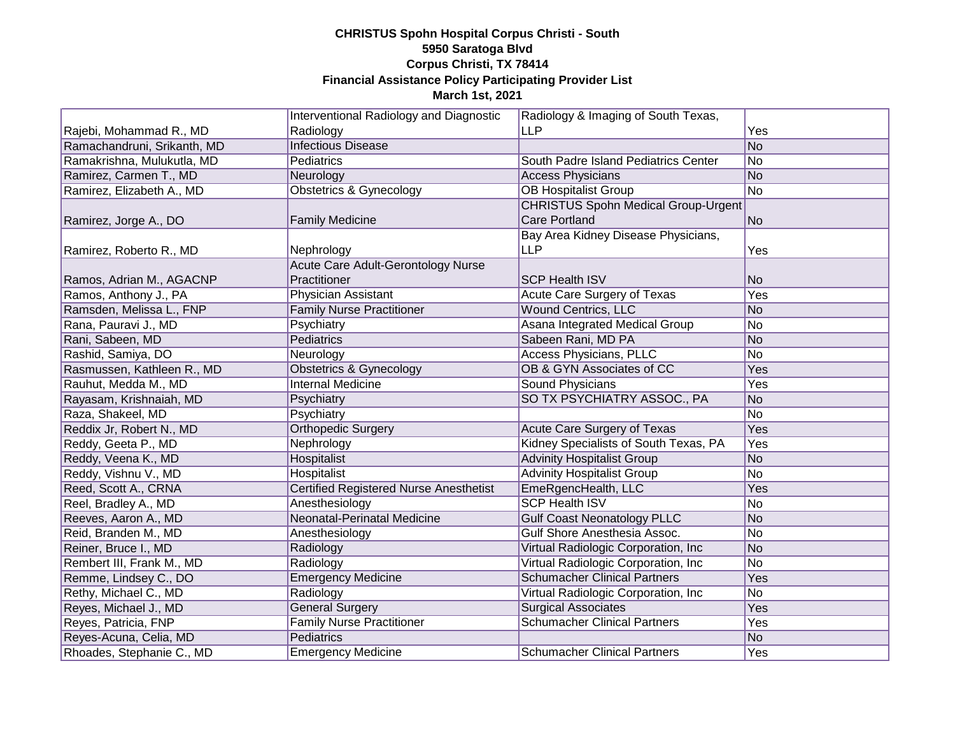|                             | Interventional Radiology and Diagnostic       | Radiology & Imaging of South Texas,        |     |
|-----------------------------|-----------------------------------------------|--------------------------------------------|-----|
| Rajebi, Mohammad R., MD     | Radiology                                     | <b>LLP</b>                                 | Yes |
| Ramachandruni, Srikanth, MD | <b>Infectious Disease</b>                     |                                            | No  |
| Ramakrishna, Mulukutla, MD  | Pediatrics                                    | South Padre Island Pediatrics Center       | No  |
| Ramirez, Carmen T., MD      | Neurology                                     | <b>Access Physicians</b>                   | No  |
| Ramirez, Elizabeth A., MD   | <b>Obstetrics &amp; Gynecology</b>            | <b>OB Hospitalist Group</b>                | No  |
|                             |                                               | <b>CHRISTUS Spohn Medical Group-Urgent</b> |     |
| Ramirez, Jorge A., DO       | <b>Family Medicine</b>                        | <b>Care Portland</b>                       | No  |
|                             |                                               | Bay Area Kidney Disease Physicians,        |     |
| Ramirez, Roberto R., MD     | Nephrology                                    | <b>LLP</b>                                 | Yes |
|                             | Acute Care Adult-Gerontology Nurse            |                                            |     |
| Ramos, Adrian M., AGACNP    | Practitioner                                  | <b>SCP Health ISV</b>                      | No  |
| Ramos, Anthony J., PA       | <b>Physician Assistant</b>                    | Acute Care Surgery of Texas                | Yes |
| Ramsden, Melissa L., FNP    | <b>Family Nurse Practitioner</b>              | <b>Wound Centrics, LLC</b>                 | No  |
| Rana, Pauravi J., MD        | Psychiatry                                    | Asana Integrated Medical Group             | No  |
| Rani, Sabeen, MD            | <b>Pediatrics</b>                             | Sabeen Rani, MD PA                         | No  |
| Rashid, Samiya, DO          | Neurology                                     | <b>Access Physicians, PLLC</b>             | No  |
| Rasmussen, Kathleen R., MD  | <b>Obstetrics &amp; Gynecology</b>            | OB & GYN Associates of CC                  | Yes |
| Rauhut, Medda M., MD        | <b>Internal Medicine</b>                      | Sound Physicians                           | Yes |
| Rayasam, Krishnaiah, MD     | Psychiatry                                    | SO TX PSYCHIATRY ASSOC., PA                | No  |
| Raza, Shakeel, MD           | Psychiatry                                    |                                            | No  |
| Reddix Jr, Robert N., MD    | <b>Orthopedic Surgery</b>                     | Acute Care Surgery of Texas                | Yes |
| Reddy, Geeta P., MD         | Nephrology                                    | Kidney Specialists of South Texas, PA      | Yes |
| Reddy, Veena K., MD         | Hospitalist                                   | <b>Advinity Hospitalist Group</b>          | No  |
| Reddy, Vishnu V., MD        | Hospitalist                                   | <b>Advinity Hospitalist Group</b>          | No  |
| Reed, Scott A., CRNA        | <b>Certified Registered Nurse Anesthetist</b> | EmeRgencHealth, LLC                        | Yes |
| Reel, Bradley A., MD        | Anesthesiology                                | <b>SCP Health ISV</b>                      | No  |
| Reeves, Aaron A., MD        | Neonatal-Perinatal Medicine                   | <b>Gulf Coast Neonatology PLLC</b>         | No  |
| Reid, Branden M., MD        | Anesthesiology                                | Gulf Shore Anesthesia Assoc.               | No  |
| Reiner, Bruce I., MD        | Radiology                                     | Virtual Radiologic Corporation, Inc        | No  |
| Rembert III, Frank M., MD   | Radiology                                     | Virtual Radiologic Corporation, Inc.       | No  |
| Remme, Lindsey C., DO       | <b>Emergency Medicine</b>                     | <b>Schumacher Clinical Partners</b>        | Yes |
| Rethy, Michael C., MD       | Radiology                                     | Virtual Radiologic Corporation, Inc        | No  |
| Reyes, Michael J., MD       | <b>General Surgery</b>                        | <b>Surgical Associates</b>                 | Yes |
| Reyes, Patricia, FNP        | <b>Family Nurse Practitioner</b>              | <b>Schumacher Clinical Partners</b>        | Yes |
| Reyes-Acuna, Celia, MD      | Pediatrics                                    |                                            | No  |
| Rhoades, Stephanie C., MD   | <b>Emergency Medicine</b>                     | <b>Schumacher Clinical Partners</b>        | Yes |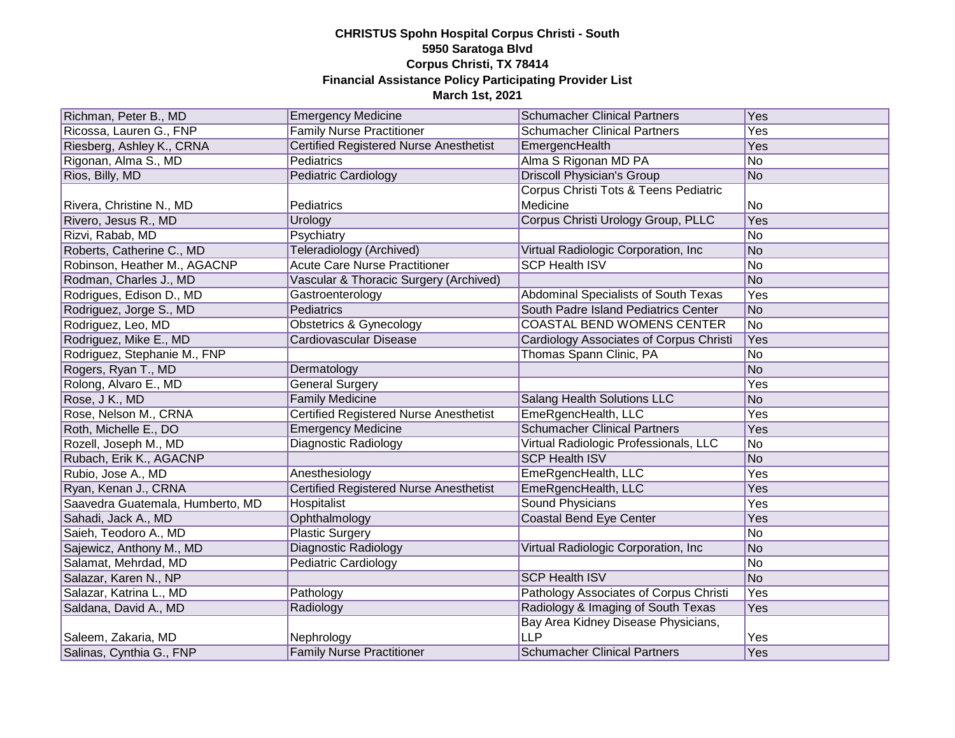| Richman, Peter B., MD            | <b>Emergency Medicine</b>                     | <b>Schumacher Clinical Partners</b>            | Yes            |
|----------------------------------|-----------------------------------------------|------------------------------------------------|----------------|
| Ricossa, Lauren G., FNP          | <b>Family Nurse Practitioner</b>              | <b>Schumacher Clinical Partners</b>            | Yes            |
| Riesberg, Ashley K., CRNA        | <b>Certified Registered Nurse Anesthetist</b> | EmergencHealth                                 | Yes            |
| Rigonan, Alma S., MD             | Pediatrics                                    | Alma S Rigonan MD PA                           | No             |
| Rios, Billy, MD                  | <b>Pediatric Cardiology</b>                   | <b>Driscoll Physician's Group</b>              | No             |
|                                  |                                               | Corpus Christi Tots & Teens Pediatric          |                |
| Rivera, Christine N., MD         | Pediatrics                                    | Medicine                                       | No             |
| Rivero, Jesus R., MD             | Urology                                       | Corpus Christi Urology Group, PLLC             | Yes            |
| Rizvi, Rabab, MD                 | Psychiatry                                    |                                                | No             |
| Roberts, Catherine C., MD        | Teleradiology (Archived)                      | Virtual Radiologic Corporation, Inc.           | No             |
| Robinson, Heather M., AGACNP     | <b>Acute Care Nurse Practitioner</b>          | <b>SCP Health ISV</b>                          | No             |
| Rodman, Charles J., MD           | Vascular & Thoracic Surgery (Archived)        |                                                | No             |
| Rodrigues, Edison D., MD         | Gastroenterology                              | Abdominal Specialists of South Texas           | Yes            |
| Rodriguez, Jorge S., MD          | Pediatrics                                    | South Padre Island Pediatrics Center           | No             |
| Rodriguez, Leo, MD               | Obstetrics & Gynecology                       | COASTAL BEND WOMENS CENTER                     | No             |
| Rodriguez, Mike E., MD           | Cardiovascular Disease                        | <b>Cardiology Associates of Corpus Christi</b> | Yes            |
| Rodriguez, Stephanie M., FNP     |                                               | Thomas Spann Clinic, PA                        | N <sub>o</sub> |
| Rogers, Ryan T., MD              | Dermatology                                   |                                                | No             |
| Rolong, Alvaro E., MD            | <b>General Surgery</b>                        |                                                | Yes            |
| Rose, J K., MD                   | <b>Family Medicine</b>                        | Salang Health Solutions LLC                    | No             |
| Rose, Nelson M., CRNA            | <b>Certified Registered Nurse Anesthetist</b> | EmeRgencHealth, LLC                            | Yes            |
| Roth, Michelle E., DO            | <b>Emergency Medicine</b>                     | <b>Schumacher Clinical Partners</b>            | Yes            |
| Rozell, Joseph M., MD            | <b>Diagnostic Radiology</b>                   | Virtual Radiologic Professionals, LLC          | No             |
| Rubach, Erik K., AGACNP          |                                               | <b>SCP Health ISV</b>                          | No             |
| Rubio, Jose A., MD               | Anesthesiology                                | EmeRgencHealth, LLC                            | Yes            |
| Ryan, Kenan J., CRNA             | <b>Certified Registered Nurse Anesthetist</b> | EmeRgencHealth, LLC                            | Yes            |
| Saavedra Guatemala, Humberto, MD | <b>Hospitalist</b>                            | <b>Sound Physicians</b>                        | Yes            |
| Sahadi, Jack A., MD              | Ophthalmology                                 | Coastal Bend Eye Center                        | Yes            |
| Saieh, Teodoro A., MD            | <b>Plastic Surgery</b>                        |                                                | No             |
| Sajewicz, Anthony M., MD         | <b>Diagnostic Radiology</b>                   | Virtual Radiologic Corporation, Inc            | No             |
| Salamat, Mehrdad, MD             | <b>Pediatric Cardiology</b>                   |                                                | No             |
| Salazar, Karen N., NP            |                                               | <b>SCP Health ISV</b>                          | No             |
| Salazar, Katrina L., MD          | Pathology                                     | Pathology Associates of Corpus Christi         | Yes            |
| Saldana, David A., MD            | Radiology                                     | Radiology & Imaging of South Texas             | Yes            |
|                                  |                                               | Bay Area Kidney Disease Physicians,            |                |
| Saleem, Zakaria, MD              | Nephrology                                    | <b>LLP</b>                                     | Yes            |
| Salinas, Cynthia G., FNP         | <b>Family Nurse Practitioner</b>              | <b>Schumacher Clinical Partners</b>            | Yes            |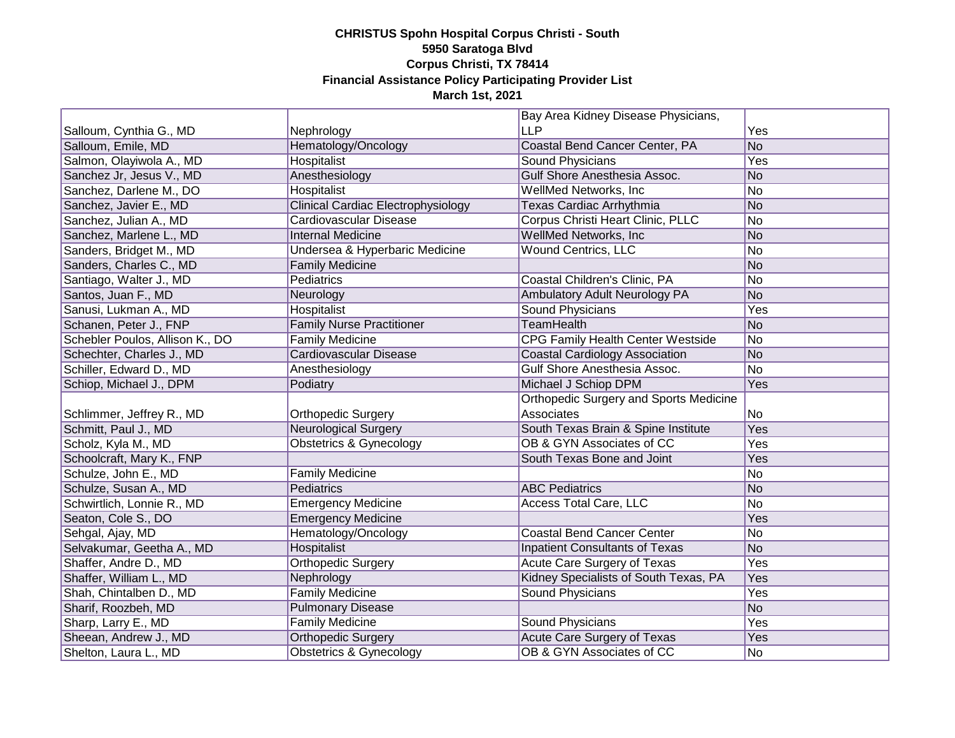|                                 |                                           | Bay Area Kidney Disease Physicians,           |     |
|---------------------------------|-------------------------------------------|-----------------------------------------------|-----|
| Salloum, Cynthia G., MD         | Nephrology                                | <b>LLP</b>                                    | Yes |
| Salloum, Emile, MD              | Hematology/Oncology                       | Coastal Bend Cancer Center, PA                | No  |
| Salmon, Olayiwola A., MD        | Hospitalist                               | Sound Physicians                              | Yes |
| Sanchez Jr, Jesus V., MD        | Anesthesiology                            | Gulf Shore Anesthesia Assoc.                  | No  |
| Sanchez, Darlene M., DO         | Hospitalist                               | WellMed Networks, Inc.                        | No  |
| Sanchez, Javier E., MD          | <b>Clinical Cardiac Electrophysiology</b> | <b>Texas Cardiac Arrhythmia</b>               | No  |
| Sanchez, Julian A., MD          | Cardiovascular Disease                    | Corpus Christi Heart Clinic, PLLC             | No  |
| Sanchez, Marlene L., MD         | <b>Internal Medicine</b>                  | <b>WellMed Networks, Inc.</b>                 | No  |
| Sanders, Bridget M., MD         | Undersea & Hyperbaric Medicine            | <b>Wound Centrics, LLC</b>                    | No  |
| Sanders, Charles C., MD         | <b>Family Medicine</b>                    |                                               | No  |
| Santiago, Walter J., MD         | Pediatrics                                | Coastal Children's Clinic, PA                 | No  |
| Santos, Juan F., MD             | Neurology                                 | Ambulatory Adult Neurology PA                 | No  |
| Sanusi, Lukman A., MD           | Hospitalist                               | Sound Physicians                              | Yes |
| Schanen, Peter J., FNP          | <b>Family Nurse Practitioner</b>          | TeamHealth                                    | No  |
| Schebler Poulos, Allison K., DO | <b>Family Medicine</b>                    | <b>CPG Family Health Center Westside</b>      | No  |
| Schechter, Charles J., MD       | Cardiovascular Disease                    | <b>Coastal Cardiology Association</b>         | No  |
| Schiller, Edward D., MD         | Anesthesiology                            | Gulf Shore Anesthesia Assoc.                  | No  |
| Schiop, Michael J., DPM         | Podiatry                                  | Michael J Schiop DPM                          | Yes |
|                                 |                                           | <b>Orthopedic Surgery and Sports Medicine</b> |     |
| Schlimmer, Jeffrey R., MD       | Orthopedic Surgery                        | Associates                                    | No  |
| Schmitt, Paul J., MD            | <b>Neurological Surgery</b>               | South Texas Brain & Spine Institute           | Yes |
| Scholz, Kyla M., MD             | Obstetrics & Gynecology                   | OB & GYN Associates of CC                     | Yes |
| Schoolcraft, Mary K., FNP       |                                           | South Texas Bone and Joint                    | Yes |
| Schulze, John E., MD            | <b>Family Medicine</b>                    |                                               | No  |
| Schulze, Susan A., MD           | Pediatrics                                | <b>ABC Pediatrics</b>                         | No  |
| Schwirtlich, Lonnie R., MD      | <b>Emergency Medicine</b>                 | Access Total Care, LLC                        | No  |
| Seaton, Cole S., DO             | <b>Emergency Medicine</b>                 |                                               | Yes |
| Sehgal, Ajay, MD                | Hematology/Oncology                       | <b>Coastal Bend Cancer Center</b>             | No  |
| Selvakumar, Geetha A., MD       | Hospitalist                               | <b>Inpatient Consultants of Texas</b>         | No  |
| Shaffer, Andre D., MD           | Orthopedic Surgery                        | <b>Acute Care Surgery of Texas</b>            | Yes |
| Shaffer, William L., MD         | Nephrology                                | Kidney Specialists of South Texas, PA         | Yes |
| Shah, Chintalben D., MD         | <b>Family Medicine</b>                    | <b>Sound Physicians</b>                       | Yes |
| Sharif, Roozbeh, MD             | <b>Pulmonary Disease</b>                  |                                               | No  |
| Sharp, Larry E., MD             | <b>Family Medicine</b>                    | Sound Physicians                              | Yes |
| Sheean, Andrew J., MD           | <b>Orthopedic Surgery</b>                 | Acute Care Surgery of Texas                   | Yes |
| Shelton, Laura L., MD           | Obstetrics & Gynecology                   | OB & GYN Associates of CC                     | No  |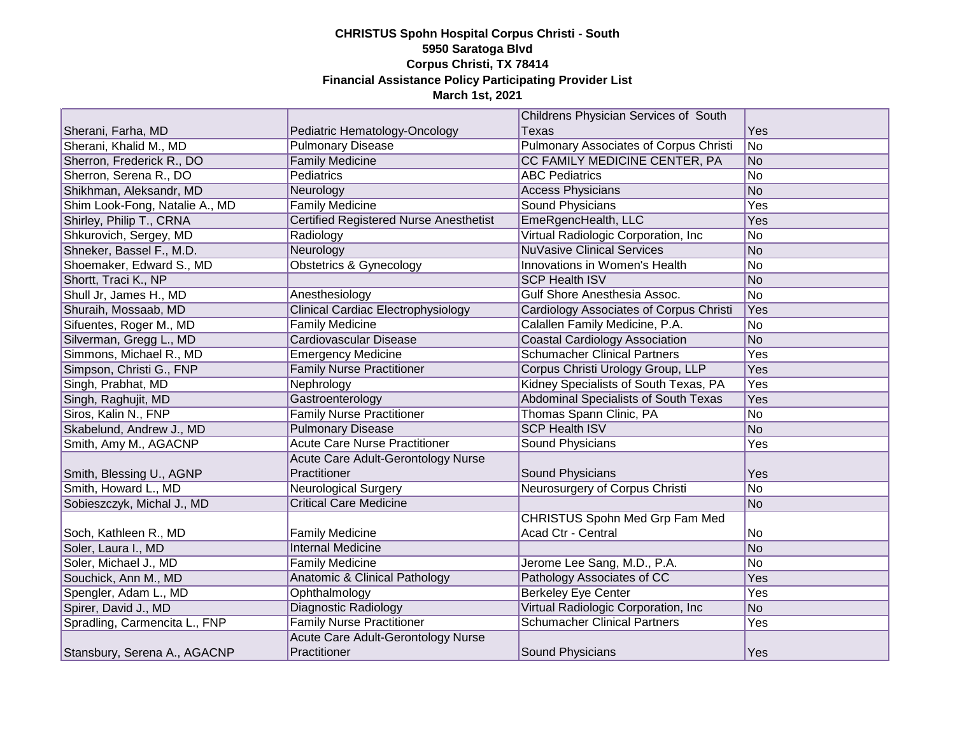|                                |                                               | Childrens Physician Services of South   |     |
|--------------------------------|-----------------------------------------------|-----------------------------------------|-----|
| Sherani, Farha, MD             | Pediatric Hematology-Oncology                 | <b>Texas</b>                            | Yes |
| Sherani, Khalid M., MD         | <b>Pulmonary Disease</b>                      | Pulmonary Associates of Corpus Christi  | No  |
| Sherron, Frederick R., DO      | <b>Family Medicine</b>                        | CC FAMILY MEDICINE CENTER, PA           | No  |
| Sherron, Serena R., DO         | <b>Pediatrics</b>                             | <b>ABC Pediatrics</b>                   | No  |
| Shikhman, Aleksandr, MD        | Neurology                                     | <b>Access Physicians</b>                | No  |
| Shim Look-Fong, Natalie A., MD | <b>Family Medicine</b>                        | <b>Sound Physicians</b>                 | Yes |
| Shirley, Philip T., CRNA       | <b>Certified Registered Nurse Anesthetist</b> | EmeRgencHealth, LLC                     | Yes |
| Shkurovich, Sergey, MD         | Radiology                                     | Virtual Radiologic Corporation, Inc     | No  |
| Shneker, Bassel F., M.D.       | Neurology                                     | <b>NuVasive Clinical Services</b>       | No  |
| Shoemaker, Edward S., MD       | <b>Obstetrics &amp; Gynecology</b>            | Innovations in Women's Health           | No  |
| Shortt, Traci K., NP           |                                               | <b>SCP Health ISV</b>                   | No  |
| Shull Jr, James H., MD         | Anesthesiology                                | Gulf Shore Anesthesia Assoc.            | No  |
| Shuraih, Mossaab, MD           | Clinical Cardiac Electrophysiology            | Cardiology Associates of Corpus Christi | Yes |
| Sifuentes, Roger M., MD        | <b>Family Medicine</b>                        | Calallen Family Medicine, P.A.          | No  |
| Silverman, Gregg L., MD        | Cardiovascular Disease                        | <b>Coastal Cardiology Association</b>   | No  |
| Simmons, Michael R., MD        | <b>Emergency Medicine</b>                     | <b>Schumacher Clinical Partners</b>     | Yes |
| Simpson, Christi G., FNP       | <b>Family Nurse Practitioner</b>              | Corpus Christi Urology Group, LLP       | Yes |
| Singh, Prabhat, MD             | Nephrology                                    | Kidney Specialists of South Texas, PA   | Yes |
| Singh, Raghujit, MD            | Gastroenterology                              | Abdominal Specialists of South Texas    | Yes |
| Siros, Kalin N., FNP           | <b>Family Nurse Practitioner</b>              | Thomas Spann Clinic, PA                 | No  |
| Skabelund, Andrew J., MD       | <b>Pulmonary Disease</b>                      | <b>SCP Health ISV</b>                   | No  |
| Smith, Amy M., AGACNP          | <b>Acute Care Nurse Practitioner</b>          | Sound Physicians                        | Yes |
|                                | Acute Care Adult-Gerontology Nurse            |                                         |     |
| Smith, Blessing U., AGNP       | Practitioner                                  | Sound Physicians                        | Yes |
| Smith, Howard L., MD           | <b>Neurological Surgery</b>                   | Neurosurgery of Corpus Christi          | No  |
| Sobieszczyk, Michal J., MD     | <b>Critical Care Medicine</b>                 |                                         | No  |
|                                |                                               | <b>CHRISTUS Spohn Med Grp Fam Med</b>   |     |
| Soch, Kathleen R., MD          | <b>Family Medicine</b>                        | Acad Ctr - Central                      | No  |
| Soler, Laura I., MD            | <b>Internal Medicine</b>                      |                                         | No  |
| Soler, Michael J., MD          | <b>Family Medicine</b>                        | Jerome Lee Sang, M.D., P.A.             | No  |
| Souchick, Ann M., MD           | Anatomic & Clinical Pathology                 | Pathology Associates of CC              | Yes |
| Spengler, Adam L., MD          | Ophthalmology                                 | <b>Berkeley Eye Center</b>              | Yes |
| Spirer, David J., MD           | Diagnostic Radiology                          | Virtual Radiologic Corporation, Inc.    | No  |
| Spradling, Carmencita L., FNP  | <b>Family Nurse Practitioner</b>              | <b>Schumacher Clinical Partners</b>     | Yes |
|                                | Acute Care Adult-Gerontology Nurse            |                                         |     |
| Stansbury, Serena A., AGACNP   | Practitioner                                  | Sound Physicians                        | Yes |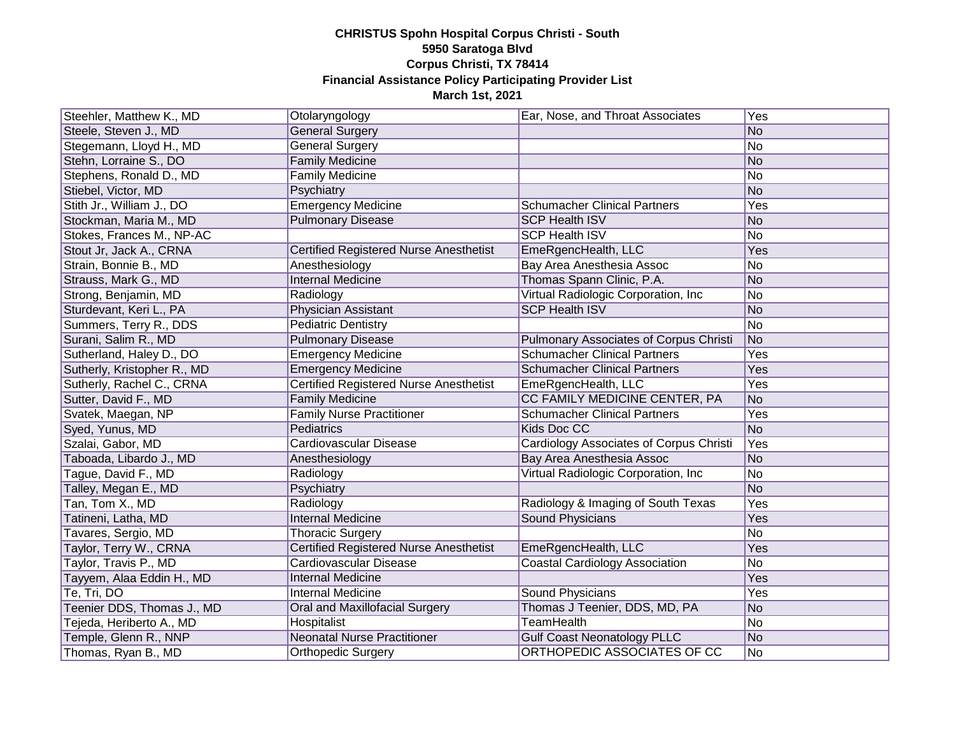| Steehler, Matthew K., MD    | Otolaryngology                                | Ear, Nose, and Throat Associates               | Yes |
|-----------------------------|-----------------------------------------------|------------------------------------------------|-----|
| Steele, Steven J., MD       | <b>General Surgery</b>                        |                                                | No  |
| Stegemann, Lloyd H., MD     | <b>General Surgery</b>                        |                                                | No  |
| Stehn, Lorraine S., DO      | <b>Family Medicine</b>                        |                                                | No  |
| Stephens, Ronald D., MD     | <b>Family Medicine</b>                        |                                                | No  |
| Stiebel, Victor, MD         | Psychiatry                                    |                                                | No  |
| Stith Jr., William J., DO   | <b>Emergency Medicine</b>                     | <b>Schumacher Clinical Partners</b>            | Yes |
| Stockman, Maria M., MD      | <b>Pulmonary Disease</b>                      | <b>SCP Health ISV</b>                          | No  |
| Stokes, Frances M., NP-AC   |                                               | <b>SCP Health ISV</b>                          | No  |
| Stout Jr, Jack A., CRNA     | <b>Certified Registered Nurse Anesthetist</b> | EmeRgencHealth, LLC                            | Yes |
| Strain, Bonnie B., MD       | Anesthesiology                                | Bay Area Anesthesia Assoc                      | No  |
| Strauss, Mark G., MD        | <b>Internal Medicine</b>                      | Thomas Spann Clinic, P.A.                      | No  |
| Strong, Benjamin, MD        | Radiology                                     | Virtual Radiologic Corporation, Inc            | No  |
| Sturdevant, Keri L., PA     | Physician Assistant                           | <b>SCP Health ISV</b>                          | No  |
| Summers, Terry R., DDS      | <b>Pediatric Dentistry</b>                    |                                                | No  |
| Surani, Salim R., MD        | <b>Pulmonary Disease</b>                      | <b>Pulmonary Associates of Corpus Christi</b>  | No  |
| Sutherland, Haley D., DO    | <b>Emergency Medicine</b>                     | <b>Schumacher Clinical Partners</b>            | Yes |
| Sutherly, Kristopher R., MD | <b>Emergency Medicine</b>                     | <b>Schumacher Clinical Partners</b>            | Yes |
| Sutherly, Rachel C., CRNA   | <b>Certified Registered Nurse Anesthetist</b> | EmeRgencHealth, LLC                            | Yes |
| Sutter, David F., MD        | <b>Family Medicine</b>                        | CC FAMILY MEDICINE CENTER, PA                  | No  |
| Svatek, Maegan, NP          | <b>Family Nurse Practitioner</b>              | <b>Schumacher Clinical Partners</b>            | Yes |
| Syed, Yunus, MD             | Pediatrics                                    | Kids Doc CC                                    | No  |
| Szalai, Gabor, MD           | Cardiovascular Disease                        | <b>Cardiology Associates of Corpus Christi</b> | Yes |
| Taboada, Libardo J., MD     | Anesthesiology                                | Bay Area Anesthesia Assoc                      | No  |
| Tague, David F., MD         | Radiology                                     | Virtual Radiologic Corporation, Inc.           | No  |
| Talley, Megan E., MD        | Psychiatry                                    |                                                | No  |
| Tan, Tom X., MD             | Radiology                                     | Radiology & Imaging of South Texas             | Yes |
| Tatineni, Latha, MD         | <b>Internal Medicine</b>                      | Sound Physicians                               | Yes |
| Tavares, Sergio, MD         | <b>Thoracic Surgery</b>                       |                                                | No  |
| Taylor, Terry W., CRNA      | <b>Certified Registered Nurse Anesthetist</b> | EmeRgencHealth, LLC                            | Yes |
| Taylor, Travis P., MD       | Cardiovascular Disease                        | <b>Coastal Cardiology Association</b>          | No  |
| Tayyem, Alaa Eddin H., MD   | <b>Internal Medicine</b>                      |                                                | Yes |
| Te, Tri, DO                 | <b>Internal Medicine</b>                      | <b>Sound Physicians</b>                        | Yes |
| Teenier DDS, Thomas J., MD  | Oral and Maxillofacial Surgery                | Thomas J Teenier, DDS, MD, PA                  | No  |
| Tejeda, Heriberto A., MD    | Hospitalist                                   | <b>TeamHealth</b>                              | No  |
| Temple, Glenn R., NNP       | <b>Neonatal Nurse Practitioner</b>            | <b>Gulf Coast Neonatology PLLC</b>             | No  |
| Thomas, Ryan B., MD         | <b>Orthopedic Surgery</b>                     | ORTHOPEDIC ASSOCIATES OF CC                    | No  |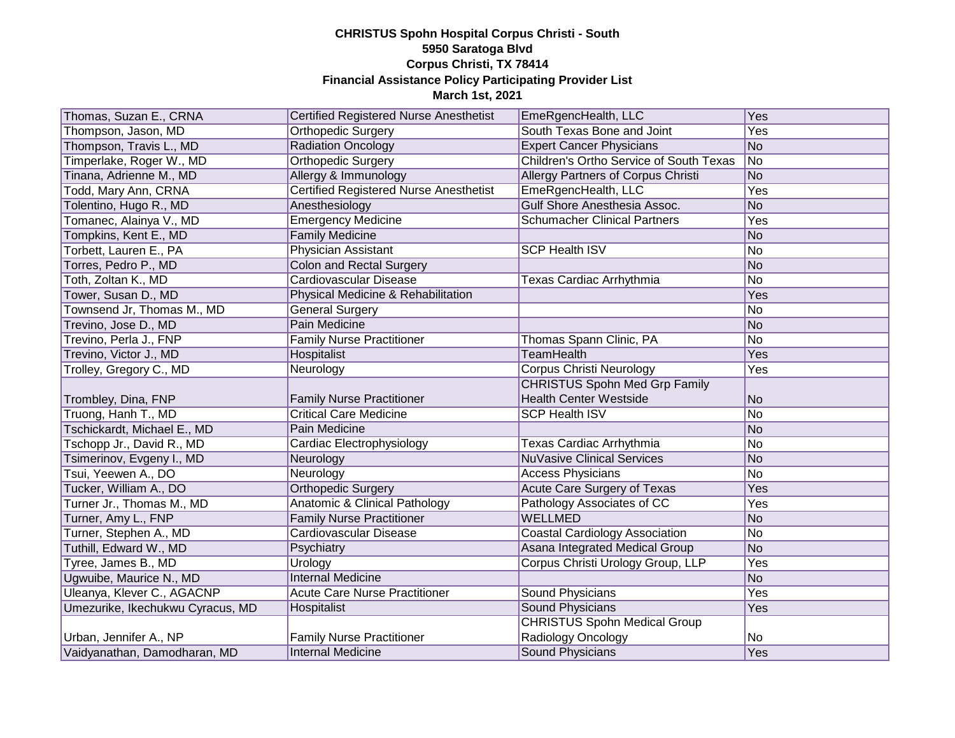| Thomas, Suzan E., CRNA           | <b>Certified Registered Nurse Anesthetist</b> | EmeRgencHealth, LLC                     | Yes        |
|----------------------------------|-----------------------------------------------|-----------------------------------------|------------|
| Thompson, Jason, MD              | Orthopedic Surgery                            | South Texas Bone and Joint              | Yes        |
| Thompson, Travis L., MD          | <b>Radiation Oncology</b>                     | <b>Expert Cancer Physicians</b>         | No         |
| Timperlake, Roger W., MD         | <b>Orthopedic Surgery</b>                     | Children's Ortho Service of South Texas | No         |
| Tinana, Adrienne M., MD          | Allergy & Immunology                          | Allergy Partners of Corpus Christi      | No         |
| Todd, Mary Ann, CRNA             | Certified Registered Nurse Anesthetist        | EmeRgencHealth, LLC                     | Yes        |
| Tolentino, Hugo R., MD           | Anesthesiology                                | <b>Gulf Shore Anesthesia Assoc.</b>     | No         |
| Tomanec, Alainya V., MD          | <b>Emergency Medicine</b>                     | <b>Schumacher Clinical Partners</b>     | <b>Yes</b> |
| Tompkins, Kent E., MD            | <b>Family Medicine</b>                        |                                         | No         |
| Torbett, Lauren E., PA           | <b>Physician Assistant</b>                    | <b>SCP Health ISV</b>                   | No         |
| Torres, Pedro P., MD             | <b>Colon and Rectal Surgery</b>               |                                         | No         |
| Toth, Zoltan K., MD              | Cardiovascular Disease                        | Texas Cardiac Arrhythmia                | No         |
| Tower, Susan D., MD              | Physical Medicine & Rehabilitation            |                                         | Yes        |
| Townsend Jr, Thomas M., MD       | General Surgery                               |                                         | No         |
| Trevino, Jose D., MD             | <b>Pain Medicine</b>                          |                                         | No         |
| Trevino, Perla J., FNP           | <b>Family Nurse Practitioner</b>              | Thomas Spann Clinic, PA                 | No         |
| Trevino, Victor J., MD           | Hospitalist                                   | <b>TeamHealth</b>                       | Yes        |
| Trolley, Gregory C., MD          | Neurology                                     | <b>Corpus Christi Neurology</b>         | Yes        |
|                                  |                                               | <b>CHRISTUS Spohn Med Grp Family</b>    |            |
| Trombley, Dina, FNP              | <b>Family Nurse Practitioner</b>              | <b>Health Center Westside</b>           | No         |
| Truong, Hanh T., MD              | <b>Critical Care Medicine</b>                 | <b>SCP Health ISV</b>                   | No         |
| Tschickardt, Michael E., MD      | Pain Medicine                                 |                                         | No         |
| Tschopp Jr., David R., MD        | Cardiac Electrophysiology                     | Texas Cardiac Arrhythmia                | No         |
| Tsimerinov, Evgeny I., MD        | Neurology                                     | <b>NuVasive Clinical Services</b>       | No         |
| Tsui, Yeewen A., DO              | Neurology                                     | <b>Access Physicians</b>                | No         |
| Tucker, William A., DO           | <b>Orthopedic Surgery</b>                     | <b>Acute Care Surgery of Texas</b>      | Yes        |
| Turner Jr., Thomas M., MD        | Anatomic & Clinical Pathology                 | Pathology Associates of CC              | Yes        |
| Turner, Amy L., FNP              | <b>Family Nurse Practitioner</b>              | <b>WELLMED</b>                          | No         |
| Turner, Stephen A., MD           | Cardiovascular Disease                        | <b>Coastal Cardiology Association</b>   | No         |
| Tuthill, Edward W., MD           | Psychiatry                                    | Asana Integrated Medical Group          | No         |
| Tyree, James B., MD              | Urology                                       | Corpus Christi Urology Group, LLP       | Yes        |
| Ugwuibe, Maurice N., MD          | <b>Internal Medicine</b>                      |                                         | No         |
| Uleanya, Klever C., AGACNP       | <b>Acute Care Nurse Practitioner</b>          | <b>Sound Physicians</b>                 | Yes        |
| Umezurike, Ikechukwu Cyracus, MD | Hospitalist                                   | <b>Sound Physicians</b>                 | Yes        |
|                                  |                                               | <b>CHRISTUS Spohn Medical Group</b>     |            |
| Urban, Jennifer A., NP           | <b>Family Nurse Practitioner</b>              | Radiology Oncology                      | No         |
| Vaidyanathan, Damodharan, MD     | <b>Internal Medicine</b>                      | <b>Sound Physicians</b>                 | Yes        |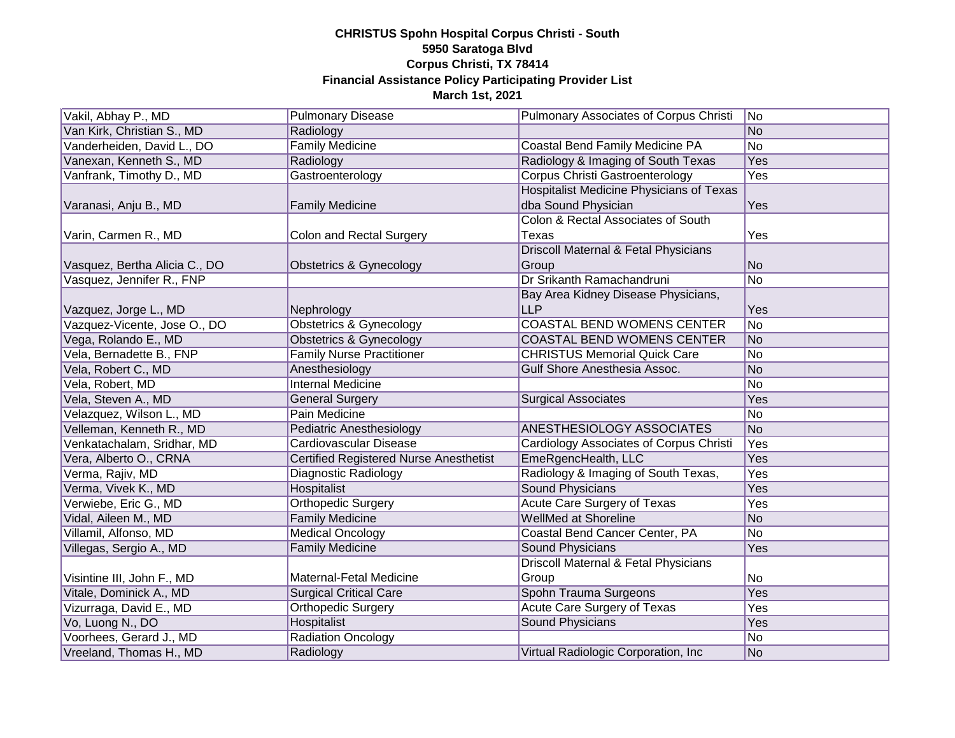| Vakil, Abhay P., MD           | <b>Pulmonary Disease</b>               | Pulmonary Associates of Corpus Christi          | No         |
|-------------------------------|----------------------------------------|-------------------------------------------------|------------|
| Van Kirk, Christian S., MD    | Radiology                              |                                                 | No         |
| Vanderheiden, David L., DO    | <b>Family Medicine</b>                 | Coastal Bend Family Medicine PA                 | No         |
| Vanexan, Kenneth S., MD       | Radiology                              | Radiology & Imaging of South Texas              | <b>Yes</b> |
| Vanfrank, Timothy D., MD      | Gastroenterology                       | <b>Corpus Christi Gastroenterology</b>          | Yes        |
|                               |                                        | <b>Hospitalist Medicine Physicians of Texas</b> |            |
| Varanasi, Anju B., MD         | <b>Family Medicine</b>                 | dba Sound Physician                             | Yes        |
|                               |                                        | Colon & Rectal Associates of South              |            |
| Varin, Carmen R., MD          | Colon and Rectal Surgery               | Texas                                           | Yes        |
|                               |                                        | Driscoll Maternal & Fetal Physicians            |            |
| Vasquez, Bertha Alicia C., DO | Obstetrics & Gynecology                | Group                                           | No         |
| Vasquez, Jennifer R., FNP     |                                        | Dr Srikanth Ramachandruni                       | No         |
|                               |                                        | Bay Area Kidney Disease Physicians,             |            |
| Vazquez, Jorge L., MD         | Nephrology                             | <b>LLP</b>                                      | Yes        |
| Vazquez-Vicente, Jose O., DO  | <b>Obstetrics &amp; Gynecology</b>     | <b>COASTAL BEND WOMENS CENTER</b>               | No         |
| Vega, Rolando E., MD          | Obstetrics & Gynecology                | <b>COASTAL BEND WOMENS CENTER</b>               | No         |
| Vela, Bernadette B., FNP      | <b>Family Nurse Practitioner</b>       | <b>CHRISTUS Memorial Quick Care</b>             | No         |
| Vela, Robert C., MD           | Anesthesiology                         | <b>Gulf Shore Anesthesia Assoc.</b>             | No         |
| Vela, Robert, MD              | <b>Internal Medicine</b>               |                                                 | No         |
| Vela, Steven A., MD           | <b>General Surgery</b>                 | <b>Surgical Associates</b>                      | Yes        |
| Velazquez, Wilson L., MD      | Pain Medicine                          |                                                 | No         |
| Velleman, Kenneth R., MD      | <b>Pediatric Anesthesiology</b>        | ANESTHESIOLOGY ASSOCIATES                       | No         |
| Venkatachalam, Sridhar, MD    | Cardiovascular Disease                 | <b>Cardiology Associates of Corpus Christi</b>  | Yes        |
| Vera, Alberto O., CRNA        | Certified Registered Nurse Anesthetist | EmeRgencHealth, LLC                             | Yes        |
| Verma, Rajiv, MD              | Diagnostic Radiology                   | Radiology & Imaging of South Texas,             | Yes        |
| Verma, Vivek K., MD           | <b>Hospitalist</b>                     | <b>Sound Physicians</b>                         | Yes        |
| Verwiebe, Eric G., MD         | <b>Orthopedic Surgery</b>              | <b>Acute Care Surgery of Texas</b>              | Yes        |
| Vidal, Aileen M., MD          | <b>Family Medicine</b>                 | <b>WellMed at Shoreline</b>                     | No         |
| Villamil, Alfonso, MD         | <b>Medical Oncology</b>                | Coastal Bend Cancer Center, PA                  | No         |
| Villegas, Sergio A., MD       | <b>Family Medicine</b>                 | <b>Sound Physicians</b>                         | Yes        |
|                               |                                        | Driscoll Maternal & Fetal Physicians            |            |
| Visintine III, John F., MD    | Maternal-Fetal Medicine                | Group                                           | No         |
| Vitale, Dominick A., MD       | <b>Surgical Critical Care</b>          | Spohn Trauma Surgeons                           | Yes        |
| Vizurraga, David E., MD       | Orthopedic Surgery                     | <b>Acute Care Surgery of Texas</b>              | Yes        |
| Vo, Luong N., DO              | <b>Hospitalist</b>                     | <b>Sound Physicians</b>                         | Yes        |
| Voorhees, Gerard J., MD       | <b>Radiation Oncology</b>              |                                                 | No         |
| Vreeland, Thomas H., MD       | Radiology                              | Virtual Radiologic Corporation, Inc.            | No         |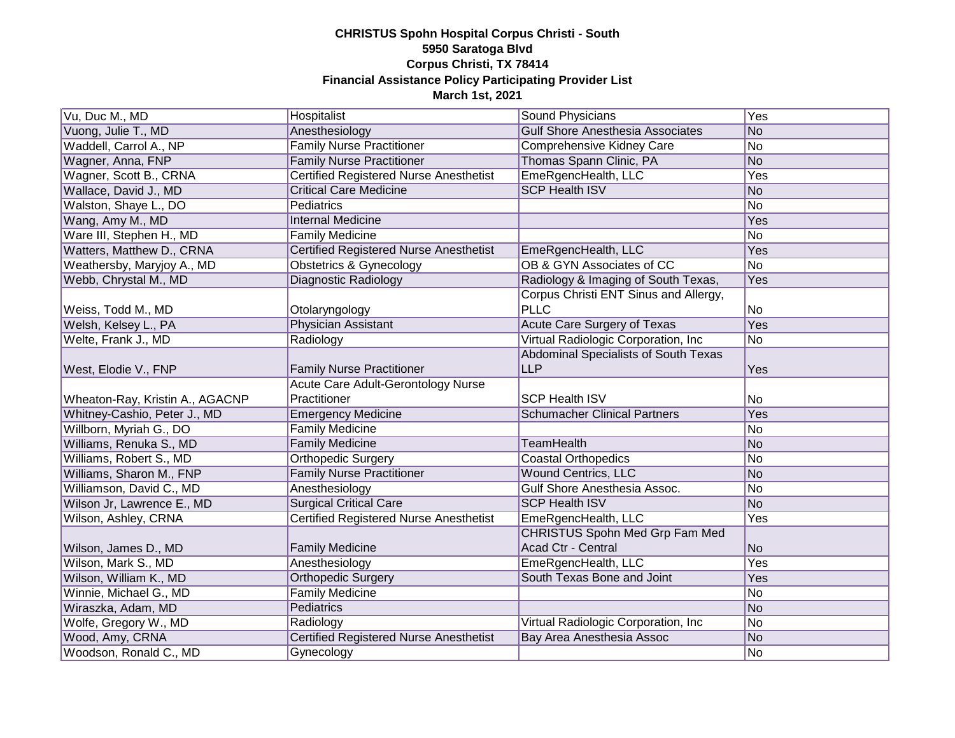| Vu, Duc M., MD                            | Hospitalist                                   | Sound Physicians                        | Yes            |
|-------------------------------------------|-----------------------------------------------|-----------------------------------------|----------------|
| Vuong, Julie T., MD                       | Anesthesiology                                | <b>Gulf Shore Anesthesia Associates</b> | No             |
| Waddell, Carrol A., NP                    | <b>Family Nurse Practitioner</b>              | Comprehensive Kidney Care               | No             |
| Wagner, Anna, FNP                         | <b>Family Nurse Practitioner</b>              | Thomas Spann Clinic, PA                 | No             |
| Wagner, Scott B., CRNA                    | Certified Registered Nurse Anesthetist        | EmeRgencHealth, LLC                     | Yes            |
| Wallace, David J., MD                     | <b>Critical Care Medicine</b>                 | <b>SCP Health ISV</b>                   | No             |
| Walston, Shaye L., DO                     | Pediatrics                                    |                                         | No             |
| Wang, Amy M., MD                          | <b>Internal Medicine</b>                      |                                         | Yes            |
| Ware III, Stephen H., MD                  | <b>Family Medicine</b>                        |                                         | No             |
| Watters, Matthew D., CRNA                 | Certified Registered Nurse Anesthetist        | EmeRgencHealth, LLC                     | Yes            |
| Weathersby, Maryjoy A., MD                | Obstetrics & Gynecology                       | OB & GYN Associates of CC               | No             |
| Webb, Chrystal M., MD                     | Diagnostic Radiology                          | Radiology & Imaging of South Texas,     | Yes            |
|                                           |                                               | Corpus Christi ENT Sinus and Allergy,   |                |
| Weiss, Todd M., MD                        | Otolaryngology                                | <b>PLLC</b>                             | No             |
| Welsh, Kelsey L., PA                      | <b>Physician Assistant</b>                    | Acute Care Surgery of Texas             | Yes            |
| Welte, Frank J., MD                       | Radiology                                     | Virtual Radiologic Corporation, Inc.    | No             |
|                                           |                                               | Abdominal Specialists of South Texas    |                |
| West, Elodie V., FNP                      | <b>Family Nurse Practitioner</b>              | <b>LLP</b>                              | Yes            |
|                                           | Acute Care Adult-Gerontology Nurse            |                                         |                |
|                                           |                                               |                                         |                |
| Wheaton-Ray, Kristin A., AGACNP           | Practitioner                                  | <b>SCP Health ISV</b>                   | No             |
| Whitney-Cashio, Peter J., MD              | <b>Emergency Medicine</b>                     | <b>Schumacher Clinical Partners</b>     | Yes            |
| Willborn, Myriah G., DO                   | <b>Family Medicine</b>                        |                                         | No             |
| Williams, Renuka S., MD                   | <b>Family Medicine</b>                        | <b>TeamHealth</b>                       | No             |
| Williams, Robert S., MD                   | Orthopedic Surgery                            | <b>Coastal Orthopedics</b>              | No             |
| Williams, Sharon M., FNP                  | <b>Family Nurse Practitioner</b>              | Wound Centrics, LLC                     | No             |
| Williamson, David C., MD                  | Anesthesiology                                | Gulf Shore Anesthesia Assoc.            | No             |
| Wilson Jr, Lawrence E., MD                | <b>Surgical Critical Care</b>                 | <b>SCP Health ISV</b>                   | No             |
| Wilson, Ashley, CRNA                      | Certified Registered Nurse Anesthetist        | EmeRgencHealth, LLC                     | Yes            |
|                                           |                                               | CHRISTUS Spohn Med Grp Fam Med          |                |
| Wilson, James D., MD                      | <b>Family Medicine</b>                        | Acad Ctr - Central                      | N <sub>o</sub> |
| Wilson, Mark S., MD                       | Anesthesiology                                | EmeRgencHealth, LLC                     | Yes            |
| Wilson, William K., MD                    | Orthopedic Surgery                            | South Texas Bone and Joint              | Yes            |
| Winnie, Michael G., MD                    | <b>Family Medicine</b>                        |                                         | No             |
| Wiraszka, Adam, MD                        | Pediatrics                                    |                                         | No             |
| Wolfe, Gregory W., MD                     | Radiology                                     | Virtual Radiologic Corporation, Inc     | No             |
| Wood, Amy, CRNA<br>Woodson, Ronald C., MD | <b>Certified Registered Nurse Anesthetist</b> | Bay Area Anesthesia Assoc               | No             |